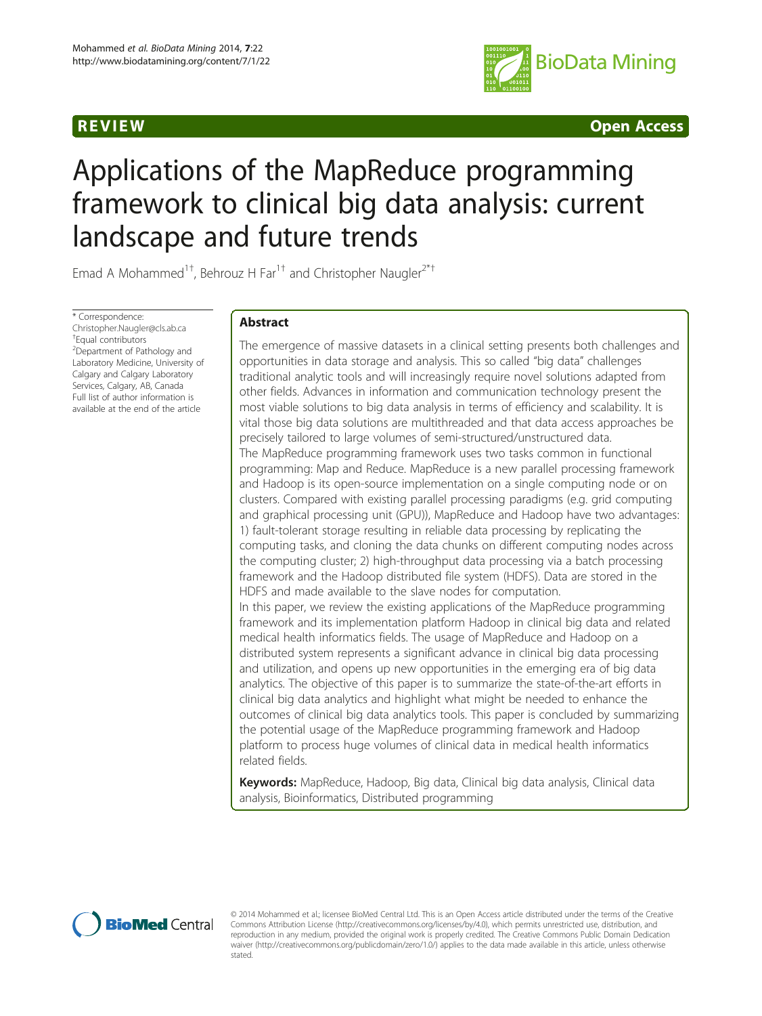

**REVIEW CONSUMING THE CONSUMING OPEN ACCESS** 

# Applications of the MapReduce programming framework to clinical big data analysis: current landscape and future trends

Emad A Mohammed<sup>1†</sup>, Behrouz H Far<sup>1†</sup> and Christopher Naugler<sup>2\*†</sup>

\* Correspondence: [Christopher.Naugler@cls.ab.ca](mailto:Christopher.Naugler@cls.ab.ca) † Equal contributors <sup>2</sup>Department of Pathology and Laboratory Medicine, University of Calgary and Calgary Laboratory Services, Calgary, AB, Canada Full list of author information is available at the end of the article

# Abstract

The emergence of massive datasets in a clinical setting presents both challenges and opportunities in data storage and analysis. This so called "big data" challenges traditional analytic tools and will increasingly require novel solutions adapted from other fields. Advances in information and communication technology present the most viable solutions to big data analysis in terms of efficiency and scalability. It is vital those big data solutions are multithreaded and that data access approaches be precisely tailored to large volumes of semi-structured/unstructured data. The MapReduce programming framework uses two tasks common in functional programming: Map and Reduce. MapReduce is a new parallel processing framework and Hadoop is its open-source implementation on a single computing node or on clusters. Compared with existing parallel processing paradigms (e.g. grid computing and graphical processing unit (GPU)), MapReduce and Hadoop have two advantages: 1) fault-tolerant storage resulting in reliable data processing by replicating the computing tasks, and cloning the data chunks on different computing nodes across the computing cluster; 2) high-throughput data processing via a batch processing framework and the Hadoop distributed file system (HDFS). Data are stored in the HDFS and made available to the slave nodes for computation. In this paper, we review the existing applications of the MapReduce programming framework and its implementation platform Hadoop in clinical big data and related medical health informatics fields. The usage of MapReduce and Hadoop on a distributed system represents a significant advance in clinical big data processing and utilization, and opens up new opportunities in the emerging era of big data analytics. The objective of this paper is to summarize the state-of-the-art efforts in clinical big data analytics and highlight what might be needed to enhance the outcomes of clinical big data analytics tools. This paper is concluded by summarizing the potential usage of the MapReduce programming framework and Hadoop platform to process huge volumes of clinical data in medical health informatics related fields.

Keywords: MapReduce, Hadoop, Big data, Clinical big data analysis, Clinical data analysis, Bioinformatics, Distributed programming



© 2014 Mohammed et al.; licensee BioMed Central Ltd. This is an Open Access article distributed under the terms of the Creative Commons Attribution License [\(http://creativecommons.org/licenses/by/4.0\)](http://creativecommons.org/licenses/by/4.0), which permits unrestricted use, distribution, and reproduction in any medium, provided the original work is properly credited. The Creative Commons Public Domain Dedication waiver [\(http://creativecommons.org/publicdomain/zero/1.0/\)](http://creativecommons.org/publicdomain/zero/1.0/) applies to the data made available in this article, unless otherwise stated.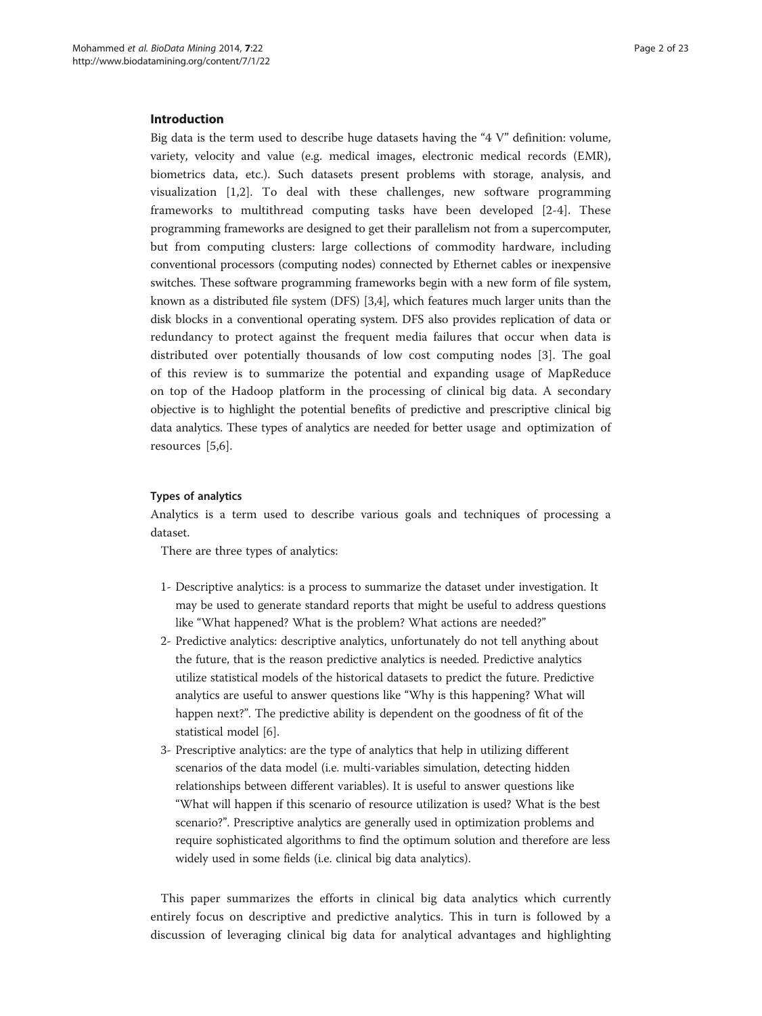#### Introduction

Big data is the term used to describe huge datasets having the "4 V" definition: volume, variety, velocity and value (e.g. medical images, electronic medical records (EMR), biometrics data, etc.). Such datasets present problems with storage, analysis, and visualization [[1,2](#page-19-0)]. To deal with these challenges, new software programming frameworks to multithread computing tasks have been developed [[2](#page-19-0)-[4\]](#page-19-0). These programming frameworks are designed to get their parallelism not from a supercomputer, but from computing clusters: large collections of commodity hardware, including conventional processors (computing nodes) connected by Ethernet cables or inexpensive switches. These software programming frameworks begin with a new form of file system, known as a distributed file system (DFS) [[3,4](#page-19-0)], which features much larger units than the disk blocks in a conventional operating system. DFS also provides replication of data or redundancy to protect against the frequent media failures that occur when data is distributed over potentially thousands of low cost computing nodes [[3\]](#page-19-0). The goal of this review is to summarize the potential and expanding usage of MapReduce on top of the Hadoop platform in the processing of clinical big data. A secondary objective is to highlight the potential benefits of predictive and prescriptive clinical big data analytics. These types of analytics are needed for better usage and optimization of resources [\[5](#page-19-0)[,6](#page-20-0)].

#### Types of analytics

Analytics is a term used to describe various goals and techniques of processing a dataset.

There are three types of analytics:

- 1- Descriptive analytics: is a process to summarize the dataset under investigation. It may be used to generate standard reports that might be useful to address questions like "What happened? What is the problem? What actions are needed?"
- 2- Predictive analytics: descriptive analytics, unfortunately do not tell anything about the future, that is the reason predictive analytics is needed. Predictive analytics utilize statistical models of the historical datasets to predict the future. Predictive analytics are useful to answer questions like "Why is this happening? What will happen next?". The predictive ability is dependent on the goodness of fit of the statistical model [\[6](#page-20-0)].
- 3- Prescriptive analytics: are the type of analytics that help in utilizing different scenarios of the data model (i.e. multi-variables simulation, detecting hidden relationships between different variables). It is useful to answer questions like "What will happen if this scenario of resource utilization is used? What is the best scenario?". Prescriptive analytics are generally used in optimization problems and require sophisticated algorithms to find the optimum solution and therefore are less widely used in some fields (i.e. clinical big data analytics).

This paper summarizes the efforts in clinical big data analytics which currently entirely focus on descriptive and predictive analytics. This in turn is followed by a discussion of leveraging clinical big data for analytical advantages and highlighting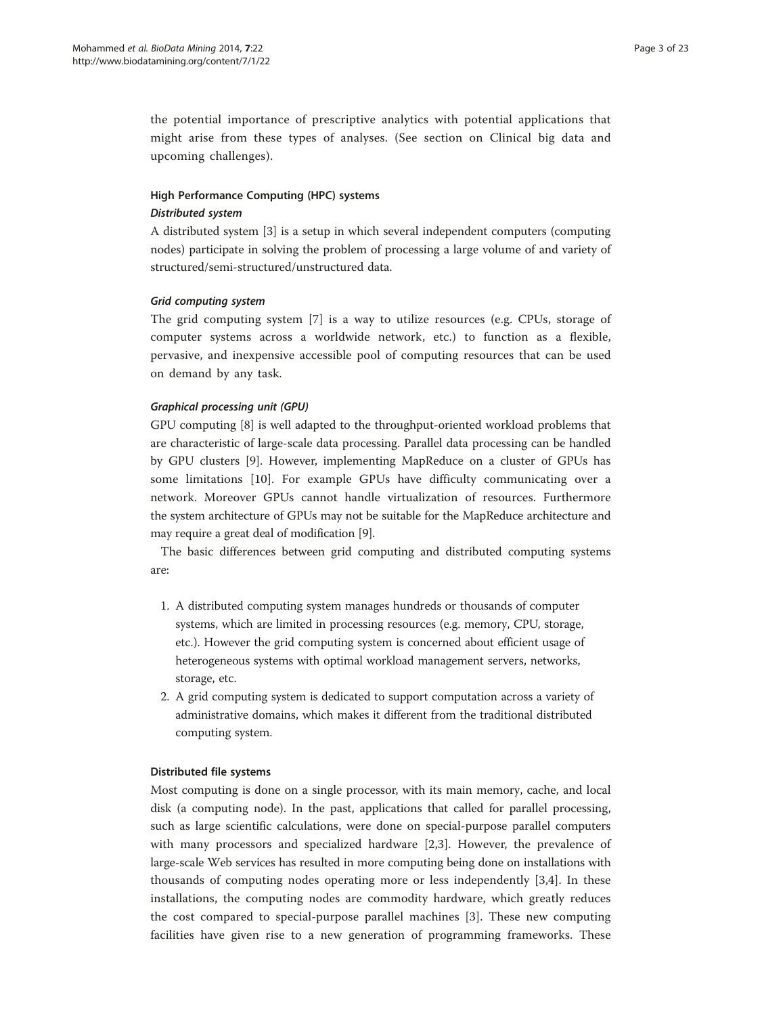the potential importance of prescriptive analytics with potential applications that might arise from these types of analyses. (See section on [Clinical big data and](#page-17-0) [upcoming challenges\)](#page-17-0).

# High Performance Computing (HPC) systems Distributed system

A distributed system [[3\]](#page-19-0) is a setup in which several independent computers (computing nodes) participate in solving the problem of processing a large volume of and variety of structured/semi-structured/unstructured data.

### Grid computing system

The grid computing system [[7\]](#page-20-0) is a way to utilize resources (e.g. CPUs, storage of computer systems across a worldwide network, etc.) to function as a flexible, pervasive, and inexpensive accessible pool of computing resources that can be used on demand by any task.

### Graphical processing unit (GPU)

GPU computing [[8\]](#page-20-0) is well adapted to the throughput-oriented workload problems that are characteristic of large-scale data processing. Parallel data processing can be handled by GPU clusters [\[9](#page-20-0)]. However, implementing MapReduce on a cluster of GPUs has some limitations [[10](#page-20-0)]. For example GPUs have difficulty communicating over a network. Moreover GPUs cannot handle virtualization of resources. Furthermore the system architecture of GPUs may not be suitable for the MapReduce architecture and may require a great deal of modification [\[9](#page-20-0)].

The basic differences between grid computing and distributed computing systems are:

- 1. A distributed computing system manages hundreds or thousands of computer systems, which are limited in processing resources (e.g. memory, CPU, storage, etc.). However the grid computing system is concerned about efficient usage of heterogeneous systems with optimal workload management servers, networks, storage, etc.
- 2. A grid computing system is dedicated to support computation across a variety of administrative domains, which makes it different from the traditional distributed computing system.

### Distributed file systems

Most computing is done on a single processor, with its main memory, cache, and local disk (a computing node). In the past, applications that called for parallel processing, such as large scientific calculations, were done on special-purpose parallel computers with many processors and specialized hardware [[2,3](#page-19-0)]. However, the prevalence of large-scale Web services has resulted in more computing being done on installations with thousands of computing nodes operating more or less independently [\[3](#page-19-0),[4\]](#page-19-0). In these installations, the computing nodes are commodity hardware, which greatly reduces the cost compared to special-purpose parallel machines [[3](#page-19-0)]. These new computing facilities have given rise to a new generation of programming frameworks. These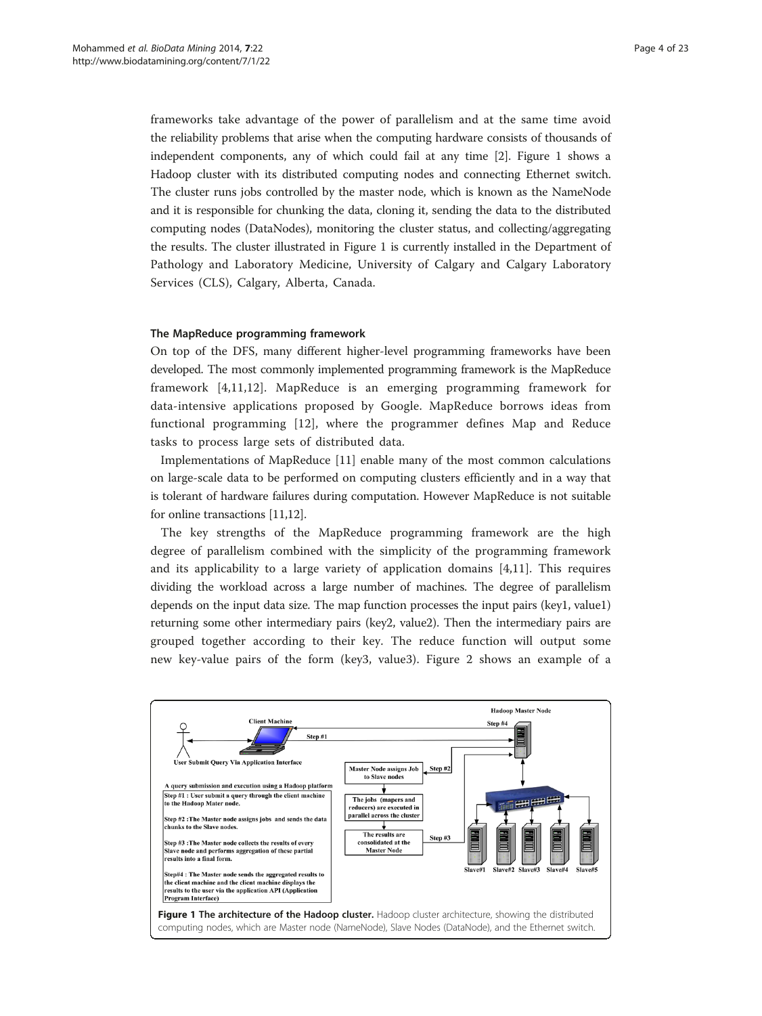frameworks take advantage of the power of parallelism and at the same time avoid the reliability problems that arise when the computing hardware consists of thousands of independent components, any of which could fail at any time [[2](#page-19-0)]. Figure 1 shows a Hadoop cluster with its distributed computing nodes and connecting Ethernet switch. The cluster runs jobs controlled by the master node, which is known as the NameNode and it is responsible for chunking the data, cloning it, sending the data to the distributed computing nodes (DataNodes), monitoring the cluster status, and collecting/aggregating the results. The cluster illustrated in Figure 1 is currently installed in the Department of Pathology and Laboratory Medicine, University of Calgary and Calgary Laboratory Services (CLS), Calgary, Alberta, Canada.

#### The MapReduce programming framework

On top of the DFS, many different higher-level programming frameworks have been developed. The most commonly implemented programming framework is the MapReduce framework [\[4](#page-19-0),[11,12](#page-20-0)]. MapReduce is an emerging programming framework for data-intensive applications proposed by Google. MapReduce borrows ideas from functional programming [\[12](#page-20-0)], where the programmer defines Map and Reduce tasks to process large sets of distributed data.

Implementations of MapReduce [\[11](#page-20-0)] enable many of the most common calculations on large-scale data to be performed on computing clusters efficiently and in a way that is tolerant of hardware failures during computation. However MapReduce is not suitable for online transactions [\[11,12](#page-20-0)].

The key strengths of the MapReduce programming framework are the high degree of parallelism combined with the simplicity of the programming framework and its applicability to a large variety of application domains [\[4](#page-19-0),[11\]](#page-20-0). This requires dividing the workload across a large number of machines. The degree of parallelism depends on the input data size. The map function processes the input pairs (key1, value1) returning some other intermediary pairs (key2, value2). Then the intermediary pairs are grouped together according to their key. The reduce function will output some new key-value pairs of the form (key3, value3). Figure [2](#page-4-0) shows an example of a

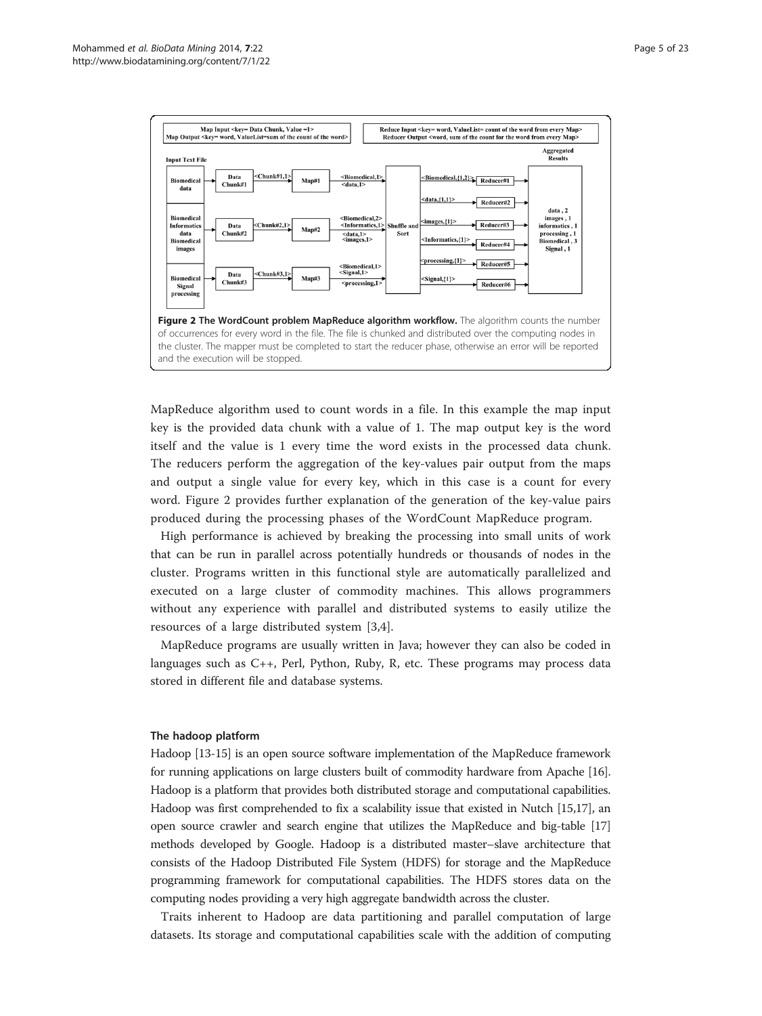<span id="page-4-0"></span>

MapReduce algorithm used to count words in a file. In this example the map input key is the provided data chunk with a value of 1. The map output key is the word itself and the value is 1 every time the word exists in the processed data chunk. The reducers perform the aggregation of the key-values pair output from the maps and output a single value for every key, which in this case is a count for every word. Figure 2 provides further explanation of the generation of the key-value pairs produced during the processing phases of the WordCount MapReduce program.

High performance is achieved by breaking the processing into small units of work that can be run in parallel across potentially hundreds or thousands of nodes in the cluster. Programs written in this functional style are automatically parallelized and executed on a large cluster of commodity machines. This allows programmers without any experience with parallel and distributed systems to easily utilize the resources of a large distributed system [[3,4](#page-19-0)].

MapReduce programs are usually written in Java; however they can also be coded in languages such as C++, Perl, Python, Ruby, R, etc. These programs may process data stored in different file and database systems.

#### The hadoop platform

Hadoop [\[13-15\]](#page-20-0) is an open source software implementation of the MapReduce framework for running applications on large clusters built of commodity hardware from Apache [\[16](#page-20-0)]. Hadoop is a platform that provides both distributed storage and computational capabilities. Hadoop was first comprehended to fix a scalability issue that existed in Nutch [[15,17\]](#page-20-0), an open source crawler and search engine that utilizes the MapReduce and big-table [\[17](#page-20-0)] methods developed by Google. Hadoop is a distributed master–slave architecture that consists of the Hadoop Distributed File System (HDFS) for storage and the MapReduce programming framework for computational capabilities. The HDFS stores data on the computing nodes providing a very high aggregate bandwidth across the cluster.

Traits inherent to Hadoop are data partitioning and parallel computation of large datasets. Its storage and computational capabilities scale with the addition of computing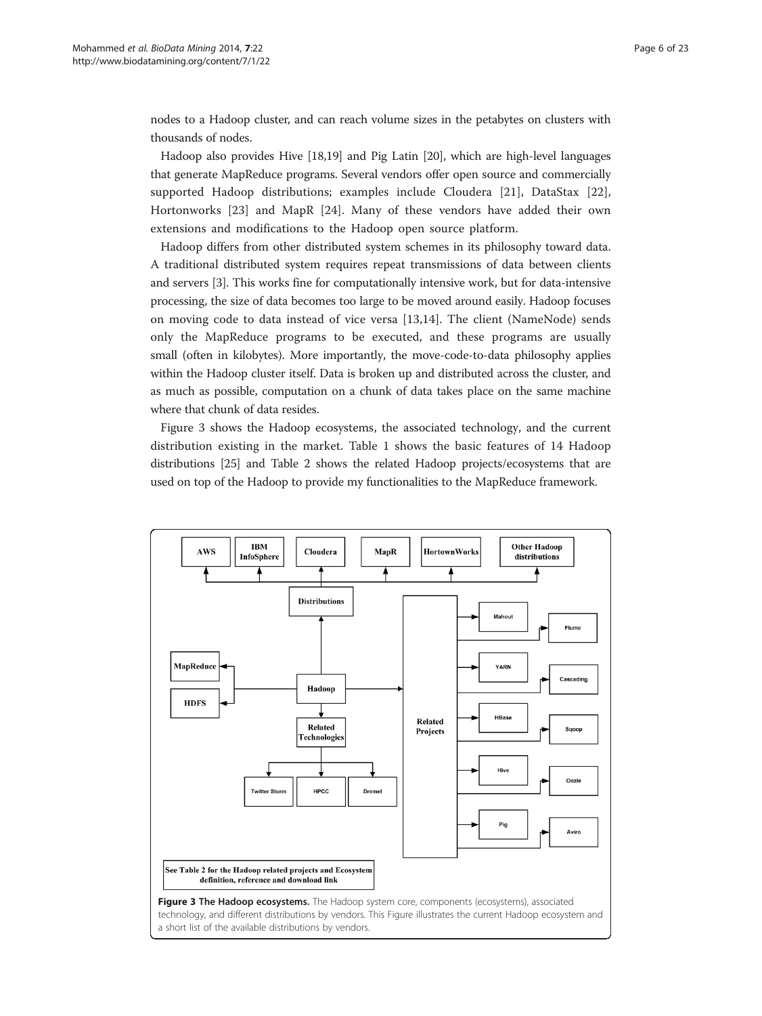nodes to a Hadoop cluster, and can reach volume sizes in the petabytes on clusters with thousands of nodes.

Hadoop also provides Hive [\[18,19\]](#page-20-0) and Pig Latin [[20](#page-20-0)], which are high-level languages that generate MapReduce programs. Several vendors offer open source and commercially supported Hadoop distributions; examples include Cloudera [[21](#page-20-0)], DataStax [\[22](#page-20-0)], Hortonworks [[23\]](#page-20-0) and MapR [[24\]](#page-20-0). Many of these vendors have added their own extensions and modifications to the Hadoop open source platform.

Hadoop differs from other distributed system schemes in its philosophy toward data. A traditional distributed system requires repeat transmissions of data between clients and servers [[3\]](#page-19-0). This works fine for computationally intensive work, but for data-intensive processing, the size of data becomes too large to be moved around easily. Hadoop focuses on moving code to data instead of vice versa [\[13,14](#page-20-0)]. The client (NameNode) sends only the MapReduce programs to be executed, and these programs are usually small (often in kilobytes). More importantly, the move-code-to-data philosophy applies within the Hadoop cluster itself. Data is broken up and distributed across the cluster, and as much as possible, computation on a chunk of data takes place on the same machine where that chunk of data resides.

Figure 3 shows the Hadoop ecosystems, the associated technology, and the current distribution existing in the market. Table [1](#page-6-0) shows the basic features of 14 Hadoop distributions [\[25](#page-20-0)] and Table [2](#page-8-0) shows the related Hadoop projects/ecosystems that are used on top of the Hadoop to provide my functionalities to the MapReduce framework.

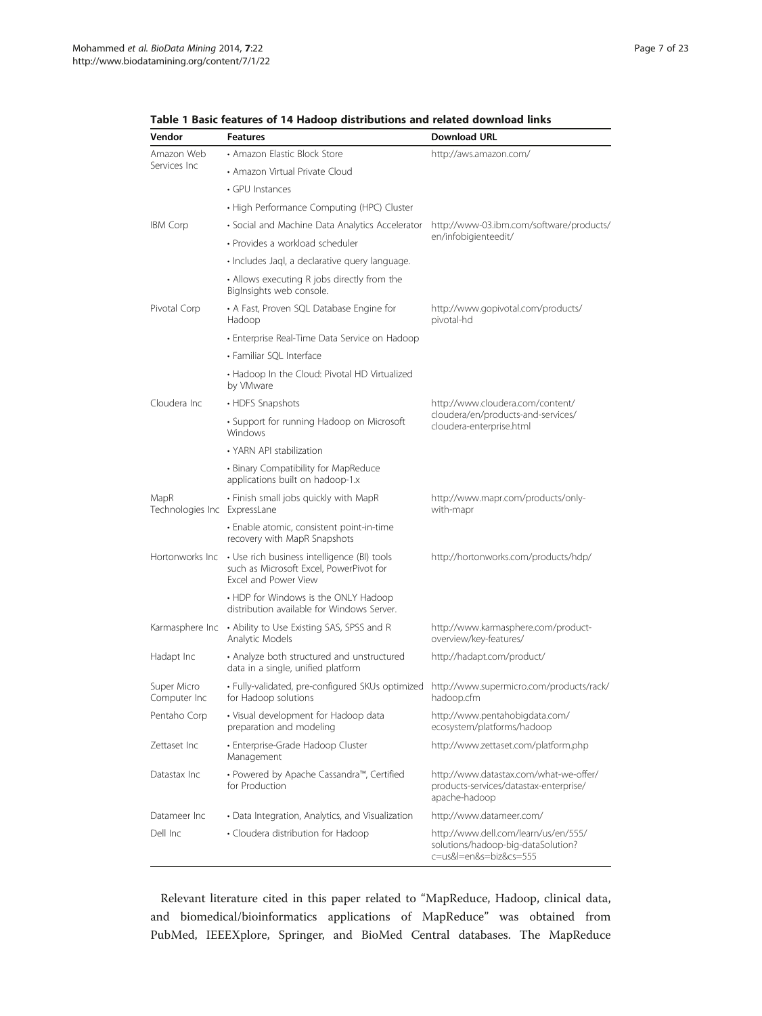| Vendor                               | <b>Features</b>                                                                                                                                                                                             | <b>Download URL</b>                                                                                  |
|--------------------------------------|-------------------------------------------------------------------------------------------------------------------------------------------------------------------------------------------------------------|------------------------------------------------------------------------------------------------------|
| Amazon Web                           | • Amazon Elastic Block Store                                                                                                                                                                                | http://aws.amazon.com/                                                                               |
| Services Inc.                        | • Amazon Virtual Private Cloud                                                                                                                                                                              |                                                                                                      |
|                                      | • GPU Instances                                                                                                                                                                                             |                                                                                                      |
|                                      | • High Performance Computing (HPC) Cluster                                                                                                                                                                  |                                                                                                      |
| <b>IBM</b> Corp                      | • Social and Machine Data Analytics Accelerator                                                                                                                                                             | http://www-03.ibm.com/software/products/                                                             |
|                                      | • Provides a workload scheduler                                                                                                                                                                             | en/infobigienteedit/                                                                                 |
|                                      | · Includes Jaql, a declarative query language.                                                                                                                                                              |                                                                                                      |
|                                      | • Allows executing R jobs directly from the<br>BigInsights web console.                                                                                                                                     |                                                                                                      |
| Pivotal Corp                         | • A Fast, Proven SQL Database Engine for<br>Hadoop                                                                                                                                                          | http://www.gopivotal.com/products/<br>pivotal-hd                                                     |
|                                      | • Enterprise Real-Time Data Service on Hadoop                                                                                                                                                               |                                                                                                      |
|                                      | • Familiar SQL Interface                                                                                                                                                                                    |                                                                                                      |
|                                      | • Hadoop In the Cloud: Pivotal HD Virtualized<br>by VMware                                                                                                                                                  |                                                                                                      |
| Cloudera Inc                         | • HDFS Snapshots                                                                                                                                                                                            | http://www.cloudera.com/content/                                                                     |
|                                      | • Support for running Hadoop on Microsoft<br><b>Windows</b>                                                                                                                                                 | cloudera/en/products-and-services/<br>cloudera-enterprise.html                                       |
|                                      | • YARN API stabilization                                                                                                                                                                                    |                                                                                                      |
|                                      | • Binary Compatibility for MapReduce<br>applications built on hadoop-1.x                                                                                                                                    |                                                                                                      |
| MapR<br>Technologies Inc ExpressLane | • Finish small jobs quickly with MapR                                                                                                                                                                       | http://www.mapr.com/products/only-<br>with-mapr                                                      |
|                                      | • Enable atomic, consistent point-in-time<br>recovery with MapR Snapshots                                                                                                                                   |                                                                                                      |
|                                      | Hortonworks Inc • Use rich business intelligence (BI) tools<br>such as Microsoft Excel, PowerPivot for<br>Excel and Power View                                                                              | http://hortonworks.com/products/hdp/                                                                 |
|                                      | • HDP for Windows is the ONLY Hadoop<br>distribution available for Windows Server.                                                                                                                          |                                                                                                      |
|                                      | Karmasphere Inc • Ability to Use Existing SAS, SPSS and R<br>Analytic Models                                                                                                                                | http://www.karmasphere.com/product-<br>overview/key-features/                                        |
| Hadapt Inc                           | • Analyze both structured and unstructured<br>data in a single, unified platform                                                                                                                            | http://hadapt.com/product/                                                                           |
| Super Micro<br>Computer Inc          | · Fully-validated, pre-configured SKUs optimized http://www.supermicro.com/products/rack/<br>for Hadoop solutions to the matrix of the matrix of the matrix of the matrix of the matrix of the matrix of th | hadoop.cfm                                                                                           |
| Pentaho Corp                         | • Visual development for Hadoop data<br>preparation and modeling                                                                                                                                            | http://www.pentahobigdata.com/<br>ecosystem/platforms/hadoop                                         |
| Zettaset Inc                         | • Enterprise-Grade Hadoop Cluster<br>Management                                                                                                                                                             | http://www.zettaset.com/platform.php                                                                 |
| Datastax Inc                         | • Powered by Apache Cassandra™, Certified<br>for Production                                                                                                                                                 | http://www.datastax.com/what-we-offer/<br>products-services/datastax-enterprise/<br>apache-hadoop    |
| Datameer Inc                         | • Data Integration, Analytics, and Visualization                                                                                                                                                            | http://www.datameer.com/                                                                             |
| Dell Inc                             | • Cloudera distribution for Hadoop                                                                                                                                                                          | http://www.dell.com/learn/us/en/555/<br>solutions/hadoop-big-dataSolution?<br>c=us&l=en&s=biz&cs=555 |

<span id="page-6-0"></span>Table 1 Basic features of 14 Hadoop distributions and related download links

Relevant literature cited in this paper related to "MapReduce, Hadoop, clinical data, and biomedical/bioinformatics applications of MapReduce" was obtained from PubMed, IEEEXplore, Springer, and BioMed Central databases. The MapReduce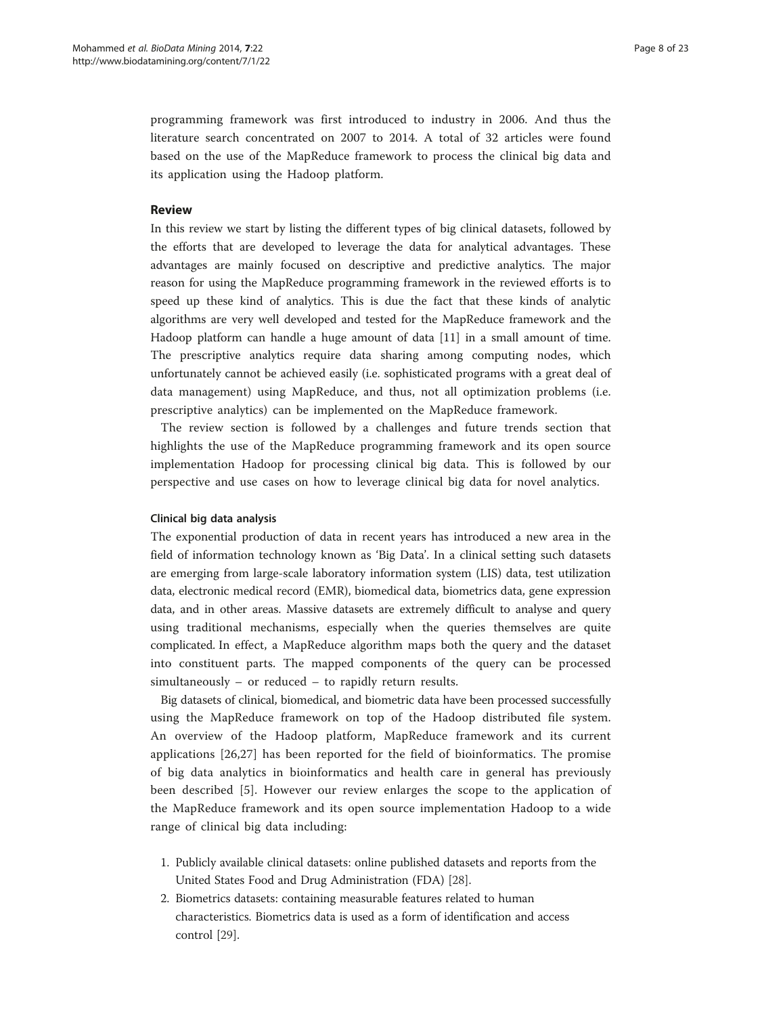programming framework was first introduced to industry in 2006. And thus the literature search concentrated on 2007 to 2014. A total of 32 articles were found based on the use of the MapReduce framework to process the clinical big data and its application using the Hadoop platform.

#### Review

In this review we start by listing the different types of big clinical datasets, followed by the efforts that are developed to leverage the data for analytical advantages. These advantages are mainly focused on descriptive and predictive analytics. The major reason for using the MapReduce programming framework in the reviewed efforts is to speed up these kind of analytics. This is due the fact that these kinds of analytic algorithms are very well developed and tested for the MapReduce framework and the Hadoop platform can handle a huge amount of data [[11\]](#page-20-0) in a small amount of time. The prescriptive analytics require data sharing among computing nodes, which unfortunately cannot be achieved easily (i.e. sophisticated programs with a great deal of data management) using MapReduce, and thus, not all optimization problems (i.e. prescriptive analytics) can be implemented on the MapReduce framework.

The review section is followed by a challenges and future trends section that highlights the use of the MapReduce programming framework and its open source implementation Hadoop for processing clinical big data. This is followed by our perspective and use cases on how to leverage clinical big data for novel analytics.

## Clinical big data analysis

The exponential production of data in recent years has introduced a new area in the field of information technology known as 'Big Data'. In a clinical setting such datasets are emerging from large-scale laboratory information system (LIS) data, test utilization data, electronic medical record (EMR), biomedical data, biometrics data, gene expression data, and in other areas. Massive datasets are extremely difficult to analyse and query using traditional mechanisms, especially when the queries themselves are quite complicated. In effect, a MapReduce algorithm maps both the query and the dataset into constituent parts. The mapped components of the query can be processed simultaneously – or reduced – to rapidly return results.

Big datasets of clinical, biomedical, and biometric data have been processed successfully using the MapReduce framework on top of the Hadoop distributed file system. An overview of the Hadoop platform, MapReduce framework and its current applications [[26,27\]](#page-20-0) has been reported for the field of bioinformatics. The promise of big data analytics in bioinformatics and health care in general has previously been described [[5\]](#page-19-0). However our review enlarges the scope to the application of the MapReduce framework and its open source implementation Hadoop to a wide range of clinical big data including:

- 1. Publicly available clinical datasets: online published datasets and reports from the United States Food and Drug Administration (FDA) [[28](#page-20-0)].
- 2. Biometrics datasets: containing measurable features related to human characteristics. Biometrics data is used as a form of identification and access control [\[29](#page-20-0)].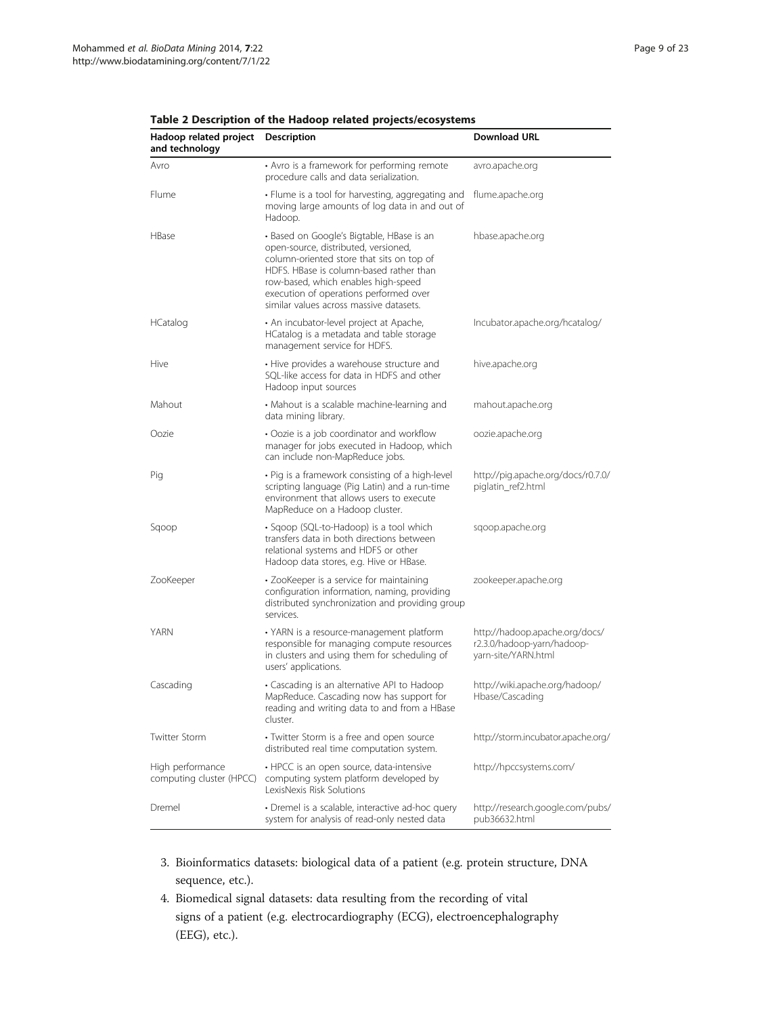| Hadoop related project Description<br>and technology | Table 2 Description of the Haubop related projects/ecosystems                                                                                                                                                                                                                                         | <b>Download URL</b>                                                                 |
|------------------------------------------------------|-------------------------------------------------------------------------------------------------------------------------------------------------------------------------------------------------------------------------------------------------------------------------------------------------------|-------------------------------------------------------------------------------------|
| Avro                                                 | • Avro is a framework for performing remote<br>procedure calls and data serialization.                                                                                                                                                                                                                | avro.apache.org                                                                     |
| Flume                                                | • Flume is a tool for harvesting, aggregating and<br>moving large amounts of log data in and out of<br>Hadoop.                                                                                                                                                                                        | flume.apache.org                                                                    |
| HBase                                                | • Based on Google's Bigtable, HBase is an<br>open-source, distributed, versioned,<br>column-oriented store that sits on top of<br>HDFS. HBase is column-based rather than<br>row-based, which enables high-speed<br>execution of operations performed over<br>similar values across massive datasets. | hbase.apache.org                                                                    |
| <b>HCatalog</b>                                      | · An incubator-level project at Apache,<br>HCatalog is a metadata and table storage<br>management service for HDFS.                                                                                                                                                                                   | Incubator.apache.org/hcatalog/                                                      |
| Hive                                                 | • Hive provides a warehouse structure and<br>SQL-like access for data in HDFS and other<br>Hadoop input sources                                                                                                                                                                                       | hive.apache.org                                                                     |
| Mahout                                               | • Mahout is a scalable machine-learning and<br>data mining library.                                                                                                                                                                                                                                   | mahout.apache.org                                                                   |
| Oozie                                                | • Oozie is a job coordinator and workflow<br>manager for jobs executed in Hadoop, which<br>can include non-MapReduce jobs.                                                                                                                                                                            | oozie.apache.org                                                                    |
| Pig                                                  | · Pig is a framework consisting of a high-level<br>scripting language (Pig Latin) and a run-time<br>environment that allows users to execute<br>MapReduce on a Hadoop cluster.                                                                                                                        | http://pig.apache.org/docs/r0.7.0/<br>piglatin_ref2.html                            |
| Sqoop                                                | • Sgoop (SQL-to-Hadoop) is a tool which<br>transfers data in both directions between<br>relational systems and HDFS or other<br>Hadoop data stores, e.g. Hive or HBase.                                                                                                                               | sqoop.apache.org                                                                    |
| ZooKeeper                                            | · ZooKeeper is a service for maintaining<br>configuration information, naming, providing<br>distributed synchronization and providing group<br>services.                                                                                                                                              | zookeeper.apache.org                                                                |
| <b>YARN</b>                                          | • YARN is a resource-management platform<br>responsible for managing compute resources<br>in clusters and using them for scheduling of<br>users' applications.                                                                                                                                        | http://hadoop.apache.org/docs/<br>r2.3.0/hadoop-yarn/hadoop-<br>yarn-site/YARN.html |
| Cascading                                            | • Cascading is an alternative API to Hadoop<br>MapReduce. Cascading now has support for<br>reading and writing data to and from a HBase<br>cluster.                                                                                                                                                   | http://wiki.apache.org/hadoop/<br>Hbase/Cascading                                   |
| <b>Twitter Storm</b>                                 | • Twitter Storm is a free and open source<br>distributed real time computation system.                                                                                                                                                                                                                | http://storm.incubator.apache.org/                                                  |
| High performance<br>computing cluster (HPCC)         | • HPCC is an open source, data-intensive<br>computing system platform developed by<br>LexisNexis Risk Solutions                                                                                                                                                                                       | http://hpccsystems.com/                                                             |
| Dremel                                               | • Dremel is a scalable, interactive ad-hoc query<br>system for analysis of read-only nested data                                                                                                                                                                                                      | http://research.google.com/pubs/<br>pub36632.html                                   |

#### <span id="page-8-0"></span>Table 2 Description of the Hadoop related projects/ecosystems

- 3. Bioinformatics datasets: biological data of a patient (e.g. protein structure, DNA sequence, etc.).
- 4. Biomedical signal datasets: data resulting from the recording of vital signs of a patient (e.g. electrocardiography (ECG), electroencephalography (EEG), etc.).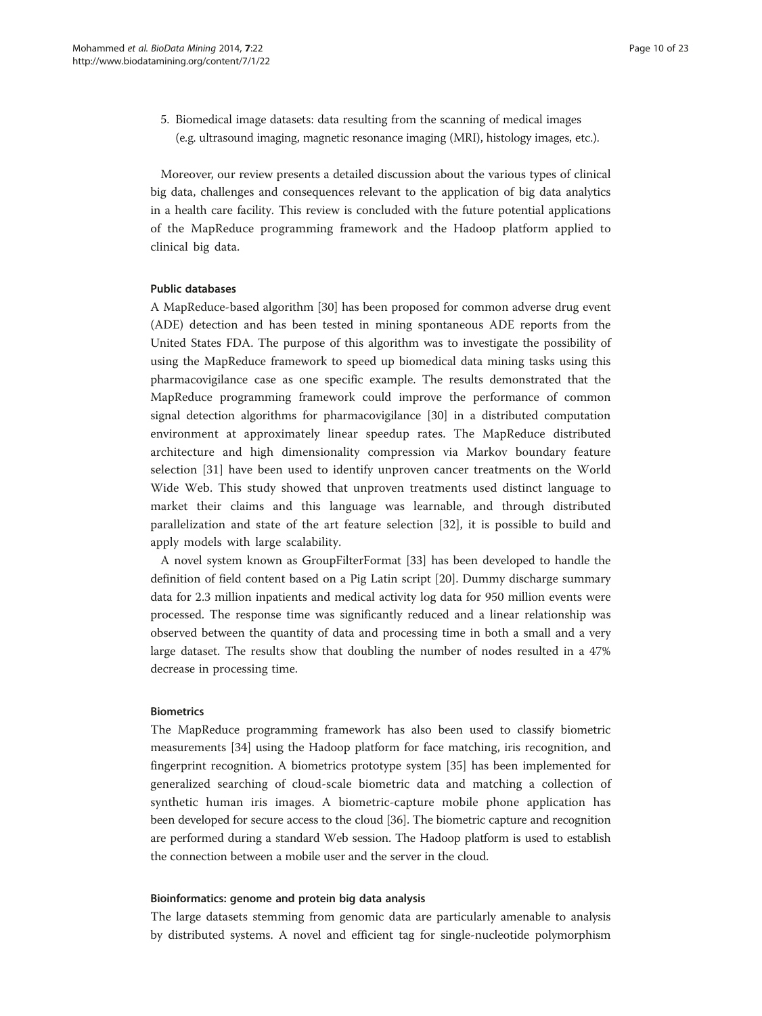5. Biomedical image datasets: data resulting from the scanning of medical images (e.g. ultrasound imaging, magnetic resonance imaging (MRI), histology images, etc.).

Moreover, our review presents a detailed discussion about the various types of clinical big data, challenges and consequences relevant to the application of big data analytics in a health care facility. This review is concluded with the future potential applications of the MapReduce programming framework and the Hadoop platform applied to clinical big data.

#### Public databases

A MapReduce-based algorithm [\[30](#page-20-0)] has been proposed for common adverse drug event (ADE) detection and has been tested in mining spontaneous ADE reports from the United States FDA. The purpose of this algorithm was to investigate the possibility of using the MapReduce framework to speed up biomedical data mining tasks using this pharmacovigilance case as one specific example. The results demonstrated that the MapReduce programming framework could improve the performance of common signal detection algorithms for pharmacovigilance [\[30\]](#page-20-0) in a distributed computation environment at approximately linear speedup rates. The MapReduce distributed architecture and high dimensionality compression via Markov boundary feature selection [[31](#page-20-0)] have been used to identify unproven cancer treatments on the World Wide Web. This study showed that unproven treatments used distinct language to market their claims and this language was learnable, and through distributed parallelization and state of the art feature selection [\[32](#page-20-0)], it is possible to build and apply models with large scalability.

A novel system known as GroupFilterFormat [[33](#page-20-0)] has been developed to handle the definition of field content based on a Pig Latin script [\[20](#page-20-0)]. Dummy discharge summary data for 2.3 million inpatients and medical activity log data for 950 million events were processed. The response time was significantly reduced and a linear relationship was observed between the quantity of data and processing time in both a small and a very large dataset. The results show that doubling the number of nodes resulted in a 47% decrease in processing time.

#### **Biometrics**

The MapReduce programming framework has also been used to classify biometric measurements [[34](#page-20-0)] using the Hadoop platform for face matching, iris recognition, and fingerprint recognition. A biometrics prototype system [[35\]](#page-20-0) has been implemented for generalized searching of cloud-scale biometric data and matching a collection of synthetic human iris images. A biometric-capture mobile phone application has been developed for secure access to the cloud [\[36\]](#page-20-0). The biometric capture and recognition are performed during a standard Web session. The Hadoop platform is used to establish the connection between a mobile user and the server in the cloud.

#### Bioinformatics: genome and protein big data analysis

The large datasets stemming from genomic data are particularly amenable to analysis by distributed systems. A novel and efficient tag for single-nucleotide polymorphism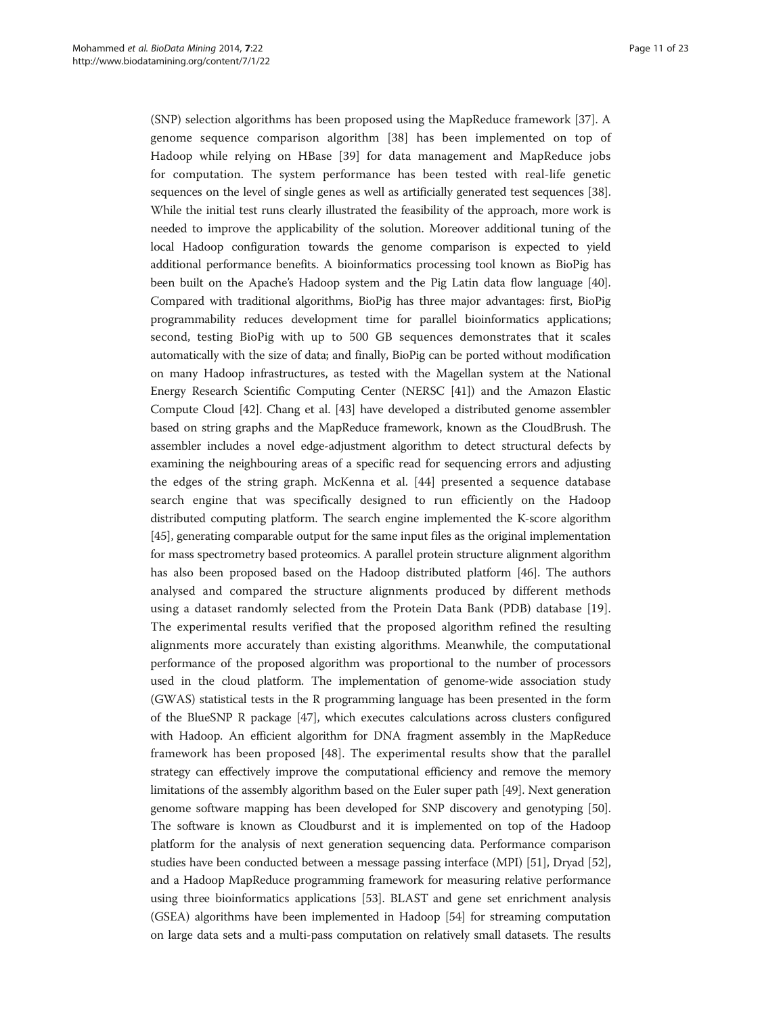(SNP) selection algorithms has been proposed using the MapReduce framework [[37](#page-20-0)]. A genome sequence comparison algorithm [[38](#page-20-0)] has been implemented on top of Hadoop while relying on HBase [\[39](#page-20-0)] for data management and MapReduce jobs for computation. The system performance has been tested with real-life genetic sequences on the level of single genes as well as artificially generated test sequences [[38](#page-20-0)]. While the initial test runs clearly illustrated the feasibility of the approach, more work is needed to improve the applicability of the solution. Moreover additional tuning of the local Hadoop configuration towards the genome comparison is expected to yield additional performance benefits. A bioinformatics processing tool known as BioPig has been built on the Apache's Hadoop system and the Pig Latin data flow language [[40](#page-20-0)]. Compared with traditional algorithms, BioPig has three major advantages: first, BioPig programmability reduces development time for parallel bioinformatics applications; second, testing BioPig with up to 500 GB sequences demonstrates that it scales automatically with the size of data; and finally, BioPig can be ported without modification on many Hadoop infrastructures, as tested with the Magellan system at the National Energy Research Scientific Computing Center (NERSC [\[41](#page-20-0)]) and the Amazon Elastic Compute Cloud [\[42\]](#page-20-0). Chang et al. [\[43\]](#page-20-0) have developed a distributed genome assembler based on string graphs and the MapReduce framework, known as the CloudBrush. The assembler includes a novel edge-adjustment algorithm to detect structural defects by examining the neighbouring areas of a specific read for sequencing errors and adjusting the edges of the string graph. McKenna et al. [[44](#page-20-0)] presented a sequence database search engine that was specifically designed to run efficiently on the Hadoop distributed computing platform. The search engine implemented the K-score algorithm [[45](#page-21-0)], generating comparable output for the same input files as the original implementation for mass spectrometry based proteomics. A parallel protein structure alignment algorithm has also been proposed based on the Hadoop distributed platform [\[46](#page-21-0)]. The authors analysed and compared the structure alignments produced by different methods using a dataset randomly selected from the Protein Data Bank (PDB) database [\[19](#page-20-0)]. The experimental results verified that the proposed algorithm refined the resulting alignments more accurately than existing algorithms. Meanwhile, the computational performance of the proposed algorithm was proportional to the number of processors used in the cloud platform. The implementation of genome-wide association study (GWAS) statistical tests in the R programming language has been presented in the form of the BlueSNP R package [\[47\]](#page-21-0), which executes calculations across clusters configured with Hadoop. An efficient algorithm for DNA fragment assembly in the MapReduce framework has been proposed [\[48](#page-21-0)]. The experimental results show that the parallel strategy can effectively improve the computational efficiency and remove the memory limitations of the assembly algorithm based on the Euler super path [\[49\]](#page-21-0). Next generation genome software mapping has been developed for SNP discovery and genotyping [[50](#page-21-0)]. The software is known as Cloudburst and it is implemented on top of the Hadoop platform for the analysis of next generation sequencing data. Performance comparison studies have been conducted between a message passing interface (MPI) [[51](#page-21-0)], Dryad [[52](#page-21-0)], and a Hadoop MapReduce programming framework for measuring relative performance using three bioinformatics applications [[53\]](#page-21-0). BLAST and gene set enrichment analysis (GSEA) algorithms have been implemented in Hadoop [\[54\]](#page-21-0) for streaming computation on large data sets and a multi-pass computation on relatively small datasets. The results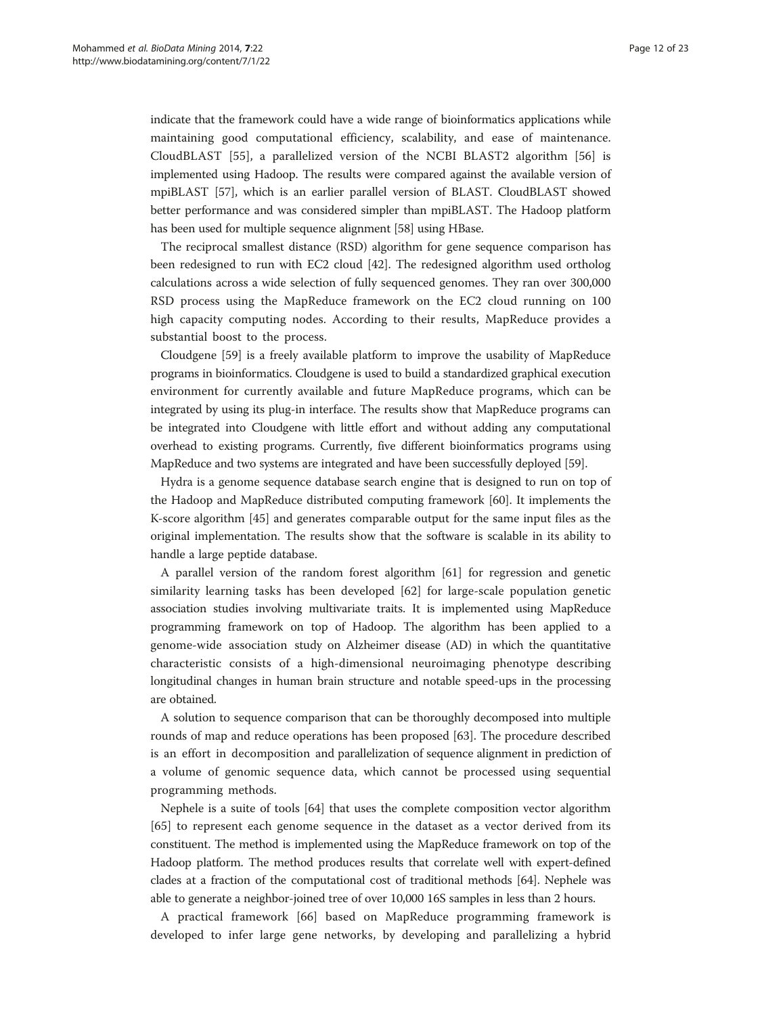indicate that the framework could have a wide range of bioinformatics applications while maintaining good computational efficiency, scalability, and ease of maintenance. CloudBLAST [\[55](#page-21-0)], a parallelized version of the NCBI BLAST2 algorithm [[56\]](#page-21-0) is implemented using Hadoop. The results were compared against the available version of mpiBLAST [[57](#page-21-0)], which is an earlier parallel version of BLAST. CloudBLAST showed better performance and was considered simpler than mpiBLAST. The Hadoop platform has been used for multiple sequence alignment [\[58\]](#page-21-0) using HBase.

The reciprocal smallest distance (RSD) algorithm for gene sequence comparison has been redesigned to run with EC2 cloud [[42](#page-20-0)]. The redesigned algorithm used ortholog calculations across a wide selection of fully sequenced genomes. They ran over 300,000 RSD process using the MapReduce framework on the EC2 cloud running on 100 high capacity computing nodes. According to their results, MapReduce provides a substantial boost to the process.

Cloudgene [\[59](#page-21-0)] is a freely available platform to improve the usability of MapReduce programs in bioinformatics. Cloudgene is used to build a standardized graphical execution environment for currently available and future MapReduce programs, which can be integrated by using its plug-in interface. The results show that MapReduce programs can be integrated into Cloudgene with little effort and without adding any computational overhead to existing programs. Currently, five different bioinformatics programs using MapReduce and two systems are integrated and have been successfully deployed [[59](#page-21-0)].

Hydra is a genome sequence database search engine that is designed to run on top of the Hadoop and MapReduce distributed computing framework [\[60](#page-21-0)]. It implements the K-score algorithm [[45\]](#page-21-0) and generates comparable output for the same input files as the original implementation. The results show that the software is scalable in its ability to handle a large peptide database.

A parallel version of the random forest algorithm [\[61](#page-21-0)] for regression and genetic similarity learning tasks has been developed [\[62](#page-21-0)] for large-scale population genetic association studies involving multivariate traits. It is implemented using MapReduce programming framework on top of Hadoop. The algorithm has been applied to a genome-wide association study on Alzheimer disease (AD) in which the quantitative characteristic consists of a high-dimensional neuroimaging phenotype describing longitudinal changes in human brain structure and notable speed-ups in the processing are obtained.

A solution to sequence comparison that can be thoroughly decomposed into multiple rounds of map and reduce operations has been proposed [\[63](#page-21-0)]. The procedure described is an effort in decomposition and parallelization of sequence alignment in prediction of a volume of genomic sequence data, which cannot be processed using sequential programming methods.

Nephele is a suite of tools [[64\]](#page-21-0) that uses the complete composition vector algorithm [[65\]](#page-21-0) to represent each genome sequence in the dataset as a vector derived from its constituent. The method is implemented using the MapReduce framework on top of the Hadoop platform. The method produces results that correlate well with expert-defined clades at a fraction of the computational cost of traditional methods [\[64\]](#page-21-0). Nephele was able to generate a neighbor-joined tree of over 10,000 16S samples in less than 2 hours.

A practical framework [[66](#page-21-0)] based on MapReduce programming framework is developed to infer large gene networks, by developing and parallelizing a hybrid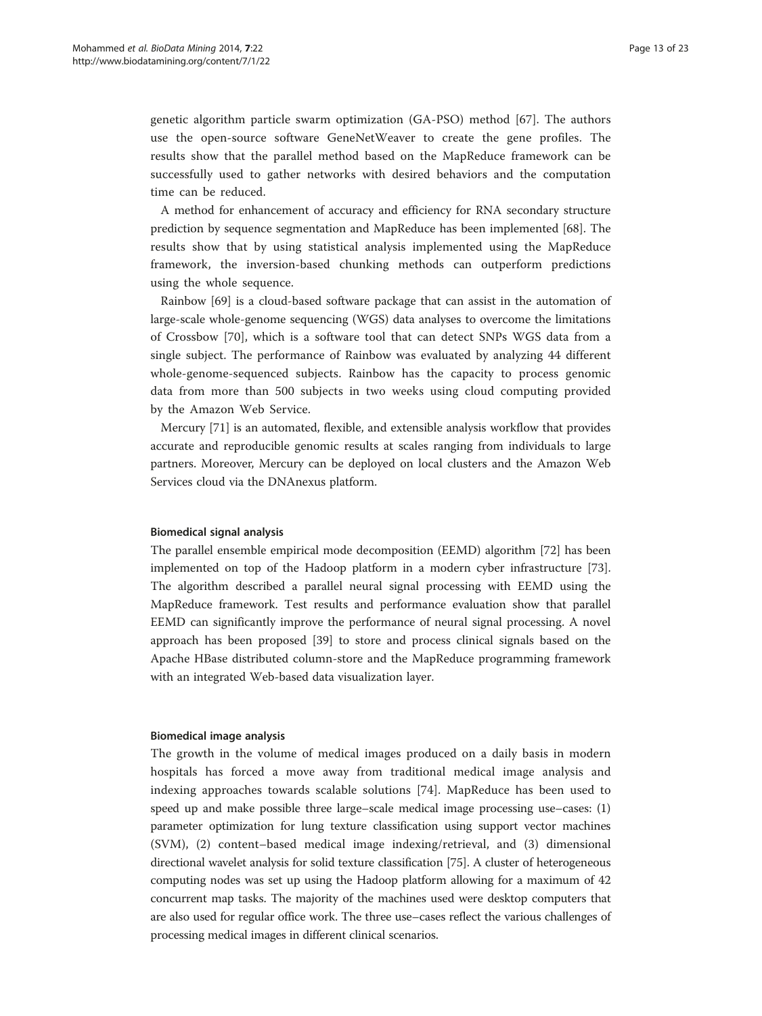genetic algorithm particle swarm optimization (GA-PSO) method [\[67](#page-21-0)]. The authors use the open-source software GeneNetWeaver to create the gene profiles. The results show that the parallel method based on the MapReduce framework can be successfully used to gather networks with desired behaviors and the computation time can be reduced.

A method for enhancement of accuracy and efficiency for RNA secondary structure prediction by sequence segmentation and MapReduce has been implemented [\[68\]](#page-21-0). The results show that by using statistical analysis implemented using the MapReduce framework, the inversion-based chunking methods can outperform predictions using the whole sequence.

Rainbow [[69\]](#page-21-0) is a cloud-based software package that can assist in the automation of large-scale whole-genome sequencing (WGS) data analyses to overcome the limitations of Crossbow [\[70](#page-21-0)], which is a software tool that can detect SNPs WGS data from a single subject. The performance of Rainbow was evaluated by analyzing 44 different whole-genome-sequenced subjects. Rainbow has the capacity to process genomic data from more than 500 subjects in two weeks using cloud computing provided by the Amazon Web Service.

Mercury [[71\]](#page-21-0) is an automated, flexible, and extensible analysis workflow that provides accurate and reproducible genomic results at scales ranging from individuals to large partners. Moreover, Mercury can be deployed on local clusters and the Amazon Web Services cloud via the DNAnexus platform.

#### Biomedical signal analysis

The parallel ensemble empirical mode decomposition (EEMD) algorithm [\[72](#page-21-0)] has been implemented on top of the Hadoop platform in a modern cyber infrastructure [[73](#page-21-0)]. The algorithm described a parallel neural signal processing with EEMD using the MapReduce framework. Test results and performance evaluation show that parallel EEMD can significantly improve the performance of neural signal processing. A novel approach has been proposed [\[39](#page-20-0)] to store and process clinical signals based on the Apache HBase distributed column-store and the MapReduce programming framework with an integrated Web-based data visualization layer.

#### Biomedical image analysis

The growth in the volume of medical images produced on a daily basis in modern hospitals has forced a move away from traditional medical image analysis and indexing approaches towards scalable solutions [\[74](#page-21-0)]. MapReduce has been used to speed up and make possible three large–scale medical image processing use–cases: (1) parameter optimization for lung texture classification using support vector machines (SVM), (2) content–based medical image indexing/retrieval, and (3) dimensional directional wavelet analysis for solid texture classification [\[75\]](#page-21-0). A cluster of heterogeneous computing nodes was set up using the Hadoop platform allowing for a maximum of 42 concurrent map tasks. The majority of the machines used were desktop computers that are also used for regular office work. The three use–cases reflect the various challenges of processing medical images in different clinical scenarios.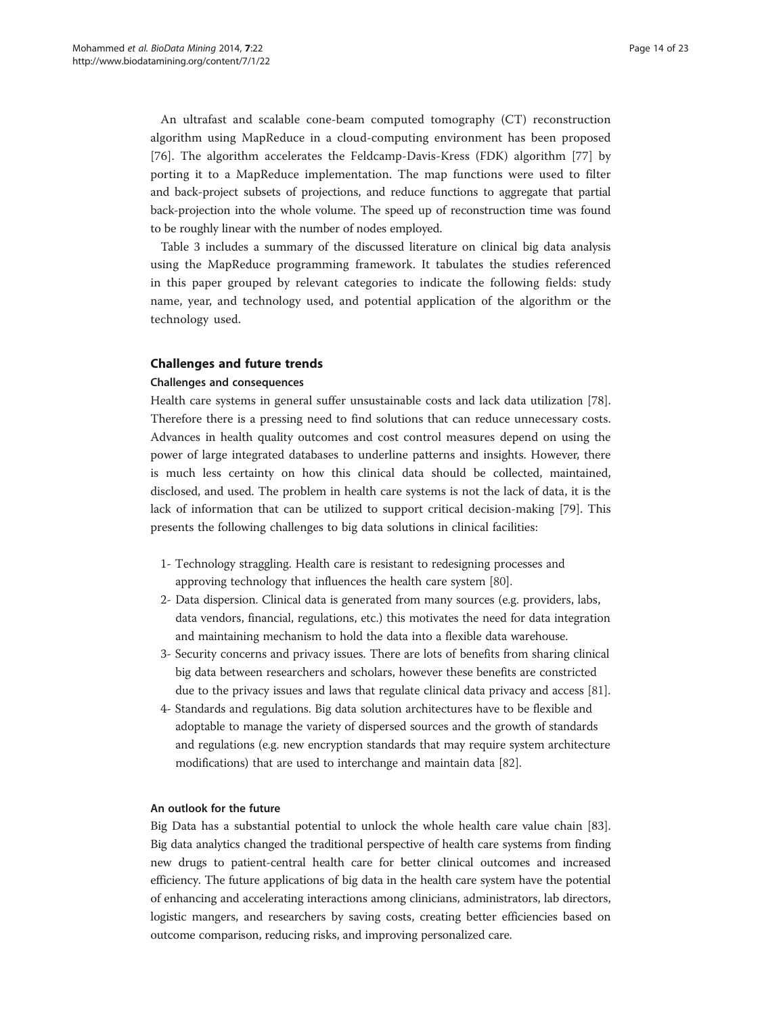An ultrafast and scalable cone-beam computed tomography (CT) reconstruction algorithm using MapReduce in a cloud-computing environment has been proposed [[76\]](#page-21-0). The algorithm accelerates the Feldcamp-Davis-Kress (FDK) algorithm [\[77](#page-21-0)] by porting it to a MapReduce implementation. The map functions were used to filter and back-project subsets of projections, and reduce functions to aggregate that partial back-projection into the whole volume. The speed up of reconstruction time was found to be roughly linear with the number of nodes employed.

Table [3](#page-14-0) includes a summary of the discussed literature on clinical big data analysis using the MapReduce programming framework. It tabulates the studies referenced in this paper grouped by relevant categories to indicate the following fields: study name, year, and technology used, and potential application of the algorithm or the technology used.

#### Challenges and future trends

#### Challenges and consequences

Health care systems in general suffer unsustainable costs and lack data utilization [[78](#page-21-0)]. Therefore there is a pressing need to find solutions that can reduce unnecessary costs. Advances in health quality outcomes and cost control measures depend on using the power of large integrated databases to underline patterns and insights. However, there is much less certainty on how this clinical data should be collected, maintained, disclosed, and used. The problem in health care systems is not the lack of data, it is the lack of information that can be utilized to support critical decision-making [[79](#page-21-0)]. This presents the following challenges to big data solutions in clinical facilities:

- 1- Technology straggling. Health care is resistant to redesigning processes and approving technology that influences the health care system [[80](#page-21-0)].
- 2- Data dispersion. Clinical data is generated from many sources (e.g. providers, labs, data vendors, financial, regulations, etc.) this motivates the need for data integration and maintaining mechanism to hold the data into a flexible data warehouse.
- 3- Security concerns and privacy issues. There are lots of benefits from sharing clinical big data between researchers and scholars, however these benefits are constricted due to the privacy issues and laws that regulate clinical data privacy and access [[81](#page-22-0)].
- 4- Standards and regulations. Big data solution architectures have to be flexible and adoptable to manage the variety of dispersed sources and the growth of standards and regulations (e.g. new encryption standards that may require system architecture modifications) that are used to interchange and maintain data [\[82\]](#page-22-0).

#### An outlook for the future

Big Data has a substantial potential to unlock the whole health care value chain [[83](#page-22-0)]. Big data analytics changed the traditional perspective of health care systems from finding new drugs to patient-central health care for better clinical outcomes and increased efficiency. The future applications of big data in the health care system have the potential of enhancing and accelerating interactions among clinicians, administrators, lab directors, logistic mangers, and researchers by saving costs, creating better efficiencies based on outcome comparison, reducing risks, and improving personalized care.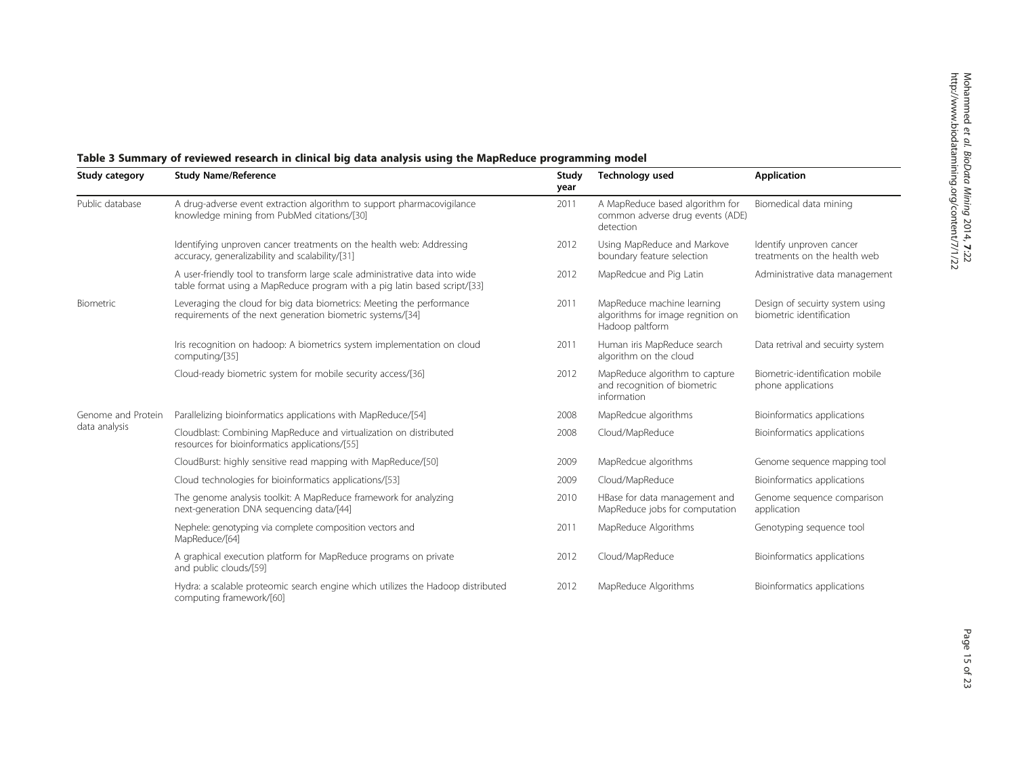<span id="page-14-0"></span>

| Study category                      | <b>Study Name/Reference</b>                                                                                                                              | Study<br>year | <b>Technology used</b>                                                             | Application                                                 |
|-------------------------------------|----------------------------------------------------------------------------------------------------------------------------------------------------------|---------------|------------------------------------------------------------------------------------|-------------------------------------------------------------|
| Public database                     | A drug-adverse event extraction algorithm to support pharmacovigilance<br>knowledge mining from PubMed citations/[30]                                    | 2011          | A MapReduce based algorithm for<br>common adverse drug events (ADE)<br>detection   | Biomedical data mining                                      |
|                                     | Identifying unproven cancer treatments on the health web: Addressing<br>accuracy, generalizability and scalability/[31]                                  | 2012          | Using MapReduce and Markove<br>boundary feature selection                          | Identify unproven cancer<br>treatments on the health web    |
|                                     | A user-friendly tool to transform large scale administrative data into wide<br>table format using a MapReduce program with a pig latin based script/[33] | 2012          | MapRedcue and Pig Latin                                                            | Administrative data management                              |
| Biometric                           | Leveraging the cloud for big data biometrics: Meeting the performance<br>requirements of the next generation biometric systems/[34]                      | 2011          | MapReduce machine learning<br>algorithms for image regnition on<br>Hadoop paltform | Design of secuirty system using<br>biometric identification |
|                                     | Iris recognition on hadoop: A biometrics system implementation on cloud<br>computing/[35]                                                                | 2011          | Human iris MapReduce search<br>algorithm on the cloud                              | Data retrival and secuirty system                           |
|                                     | Cloud-ready biometric system for mobile security access/[36]                                                                                             | 2012          | MapReduce algorithm to capture<br>and recognition of biometric<br>information      | Biometric-identification mobile<br>phone applications       |
| Genome and Protein<br>data analysis | Parallelizing bioinformatics applications with MapReduce/[54]                                                                                            | 2008          | MapRedcue algorithms                                                               | Bioinformatics applications                                 |
|                                     | Cloudblast: Combining MapReduce and virtualization on distributed<br>resources for bioinformatics applications/[55]                                      | 2008          | Cloud/MapReduce                                                                    | Bioinformatics applications                                 |
|                                     | CloudBurst: highly sensitive read mapping with MapReduce/[50]                                                                                            | 2009          | MapRedcue algorithms                                                               | Genome sequence mapping tool                                |
|                                     | Cloud technologies for bioinformatics applications/[53]                                                                                                  | 2009          | Cloud/MapReduce                                                                    | Bioinformatics applications                                 |
|                                     | The genome analysis toolkit: A MapReduce framework for analyzing<br>next-generation DNA sequencing data/[44]                                             | 2010          | HBase for data management and<br>MapReduce jobs for computation                    | Genome sequence comparison<br>application                   |
|                                     | Nephele: genotyping via complete composition vectors and<br>MapReduce/[64]                                                                               | 2011          | MapReduce Algorithms                                                               | Genotyping sequence tool                                    |
|                                     | A graphical execution platform for MapReduce programs on private<br>and public clouds/[59]                                                               | 2012          | Cloud/MapReduce                                                                    | Bioinformatics applications                                 |
|                                     | Hydra: a scalable proteomic search engine which utilizes the Hadoop distributed<br>computing framework/[60]                                              | 2012          | MapReduce Algorithms                                                               | Bioinformatics applications                                 |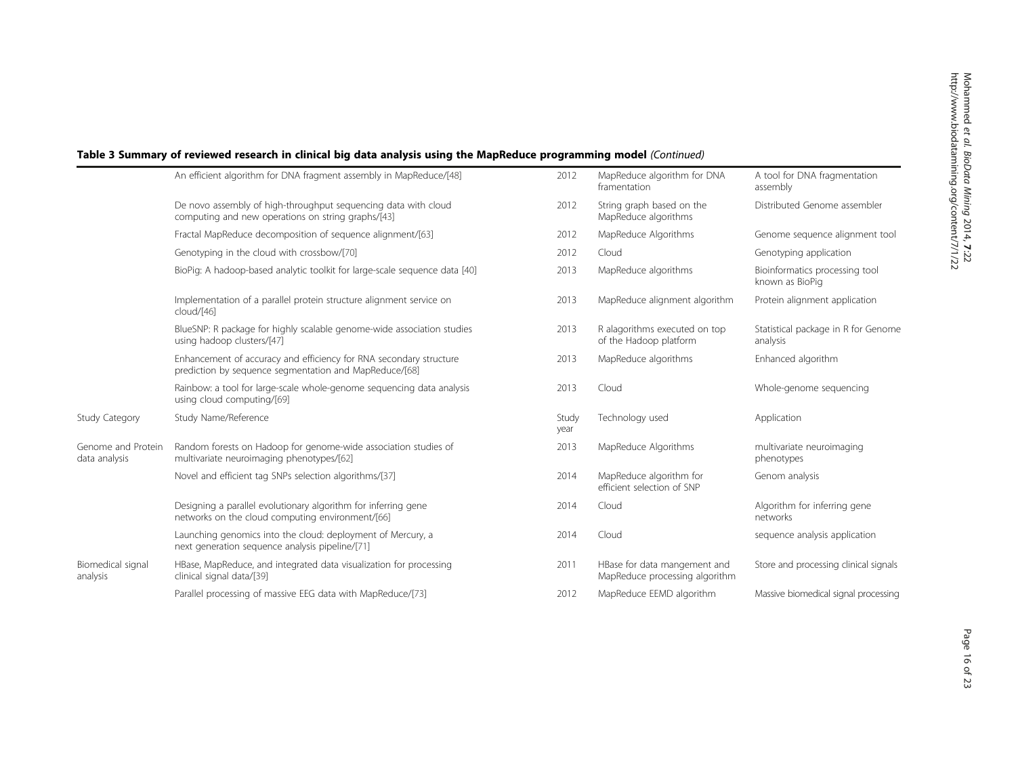# Table 3 Summary of reviewed research in clinical big data analysis using the MapReduce programming model (Continued)

|                                     | An efficient algorithm for DNA fragment assembly in MapReduce/[48]                                                           | 2012          | MapReduce algorithm for DNA<br>framentation                    | A tool for DNA fragmentation<br>assembly          |
|-------------------------------------|------------------------------------------------------------------------------------------------------------------------------|---------------|----------------------------------------------------------------|---------------------------------------------------|
|                                     | De novo assembly of high-throughput sequencing data with cloud<br>computing and new operations on string graphs/[43]         | 2012          | String graph based on the<br>MapReduce algorithms              | Distributed Genome assembler                      |
|                                     | Fractal MapReduce decomposition of sequence alignment/[63]                                                                   | 2012          | MapReduce Algorithms                                           | Genome sequence alignment tool                    |
|                                     | Genotyping in the cloud with crossbow/[70]                                                                                   | 2012          | Cloud                                                          | Genotyping application                            |
|                                     | BioPig: A hadoop-based analytic toolkit for large-scale sequence data [40]                                                   | 2013          | MapReduce algorithms                                           | Bioinformatics processing tool<br>known as BioPig |
|                                     | Implementation of a parallel protein structure alignment service on<br>cloud/[46]                                            | 2013          | MapReduce alignment algorithm                                  | Protein alignment application                     |
|                                     | BlueSNP: R package for highly scalable genome-wide association studies<br>using hadoop clusters/[47]                         | 2013          | R alagorithms executed on top<br>of the Hadoop platform        | Statistical package in R for Genome<br>analysis   |
|                                     | Enhancement of accuracy and efficiency for RNA secondary structure<br>prediction by sequence segmentation and MapReduce/[68] | 2013          | MapReduce algorithms                                           | Enhanced algorithm                                |
|                                     | Rainbow: a tool for large-scale whole-genome sequencing data analysis<br>using cloud computing/[69]                          | 2013          | Cloud                                                          | Whole-genome sequencing                           |
| Study Category                      | Study Name/Reference                                                                                                         | Study<br>year | Technology used                                                | Application                                       |
| Genome and Protein<br>data analysis | Random forests on Hadoop for genome-wide association studies of<br>multivariate neuroimaging phenotypes/[62]                 | 2013          | MapReduce Algorithms                                           | multivariate neuroimaging<br>phenotypes           |
|                                     | Novel and efficient tag SNPs selection algorithms/[37]                                                                       | 2014          | MapReduce algorithm for<br>efficient selection of SNP          | Genom analysis                                    |
|                                     | Designing a parallel evolutionary algorithm for inferring gene<br>networks on the cloud computing environment/[66]           | 2014          | Cloud                                                          | Algorithm for inferring gene<br>networks          |
|                                     | Launching genomics into the cloud: deployment of Mercury, a<br>next generation sequence analysis pipeline/[71]               | 2014          | Cloud                                                          | sequence analysis application                     |
| Biomedical signal<br>analysis       | HBase, MapReduce, and integrated data visualization for processing<br>clinical signal data/[39]                              | 2011          | HBase for data mangement and<br>MapReduce processing algorithm | Store and processing clinical signals             |
|                                     | Parallel processing of massive EEG data with MapReduce/[73]                                                                  | 2012          | MapReduce EEMD algorithm                                       | Massive biomedical signal processing              |
|                                     |                                                                                                                              |               |                                                                |                                                   |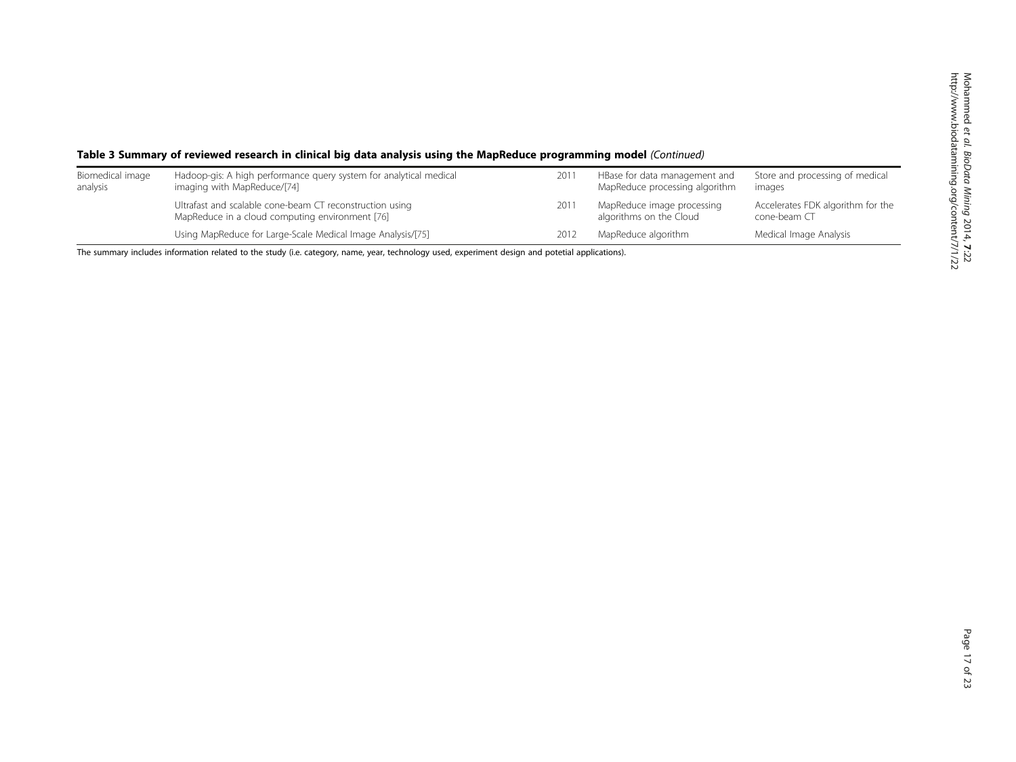# Table 3 Summary of reviewed research in clinical big data analysis using the MapReduce programming model (Continued)

| Biomedical image<br>analysis | Hadoop-gis: A high performance query system for analytical medical<br>imaging with MapReduce/[74]           | 201' | HBase for data management and<br>MapReduce processing algorithm | Store and processing of medical<br>images         |
|------------------------------|-------------------------------------------------------------------------------------------------------------|------|-----------------------------------------------------------------|---------------------------------------------------|
|                              | Ultrafast and scalable cone-beam CT reconstruction using<br>MapReduce in a cloud computing environment [76] | 201' | MapReduce image processing<br>algorithms on the Cloud           | Accelerates FDK algorithm for the<br>cone-beam CT |
|                              | Using MapReduce for Large-Scale Medical Image Analysis/[75]                                                 | 2012 | MapReduce algorithm                                             | Medical Image Analysis                            |

The summary includes information related to the study (i.e. category, name, year, technology used, experiment design and potetial applications).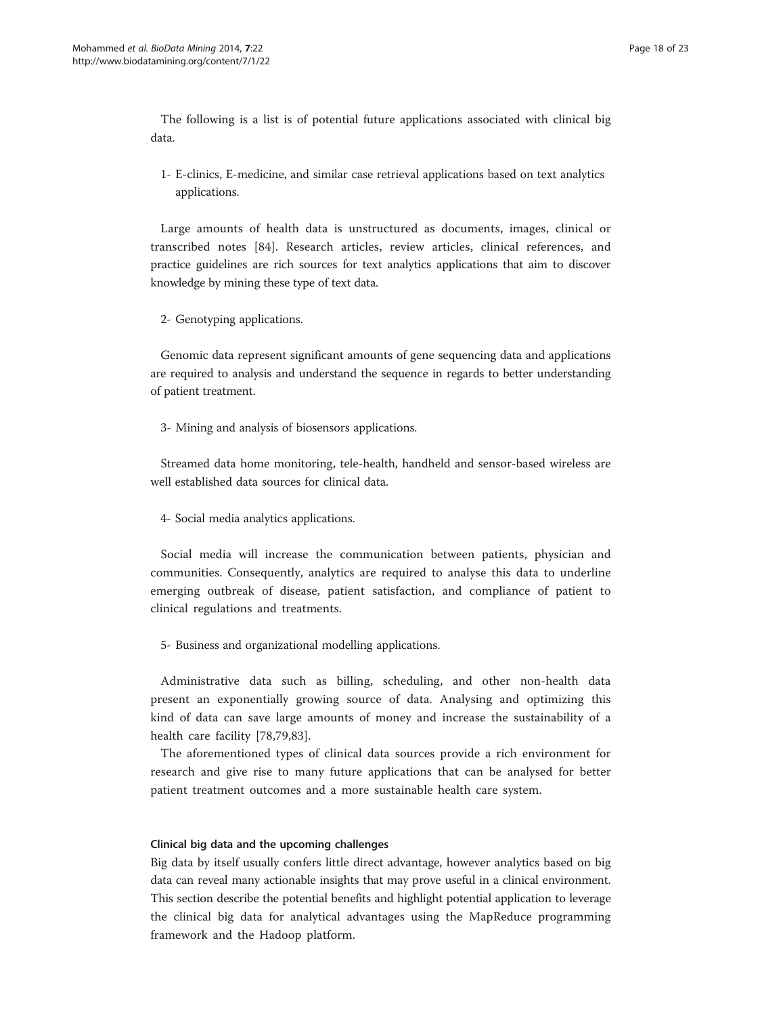<span id="page-17-0"></span>The following is a list is of potential future applications associated with clinical big data.

1- E-clinics, E-medicine, and similar case retrieval applications based on text analytics applications.

Large amounts of health data is unstructured as documents, images, clinical or transcribed notes [[84](#page-22-0)]. Research articles, review articles, clinical references, and practice guidelines are rich sources for text analytics applications that aim to discover knowledge by mining these type of text data.

2- Genotyping applications.

Genomic data represent significant amounts of gene sequencing data and applications are required to analysis and understand the sequence in regards to better understanding of patient treatment.

3- Mining and analysis of biosensors applications.

Streamed data home monitoring, tele-health, handheld and sensor-based wireless are well established data sources for clinical data.

4- Social media analytics applications.

Social media will increase the communication between patients, physician and communities. Consequently, analytics are required to analyse this data to underline emerging outbreak of disease, patient satisfaction, and compliance of patient to clinical regulations and treatments.

5- Business and organizational modelling applications.

Administrative data such as billing, scheduling, and other non-health data present an exponentially growing source of data. Analysing and optimizing this kind of data can save large amounts of money and increase the sustainability of a health care facility [\[78,79](#page-21-0),[83\]](#page-22-0).

The aforementioned types of clinical data sources provide a rich environment for research and give rise to many future applications that can be analysed for better patient treatment outcomes and a more sustainable health care system.

#### Clinical big data and the upcoming challenges

Big data by itself usually confers little direct advantage, however analytics based on big data can reveal many actionable insights that may prove useful in a clinical environment. This section describe the potential benefits and highlight potential application to leverage the clinical big data for analytical advantages using the MapReduce programming framework and the Hadoop platform.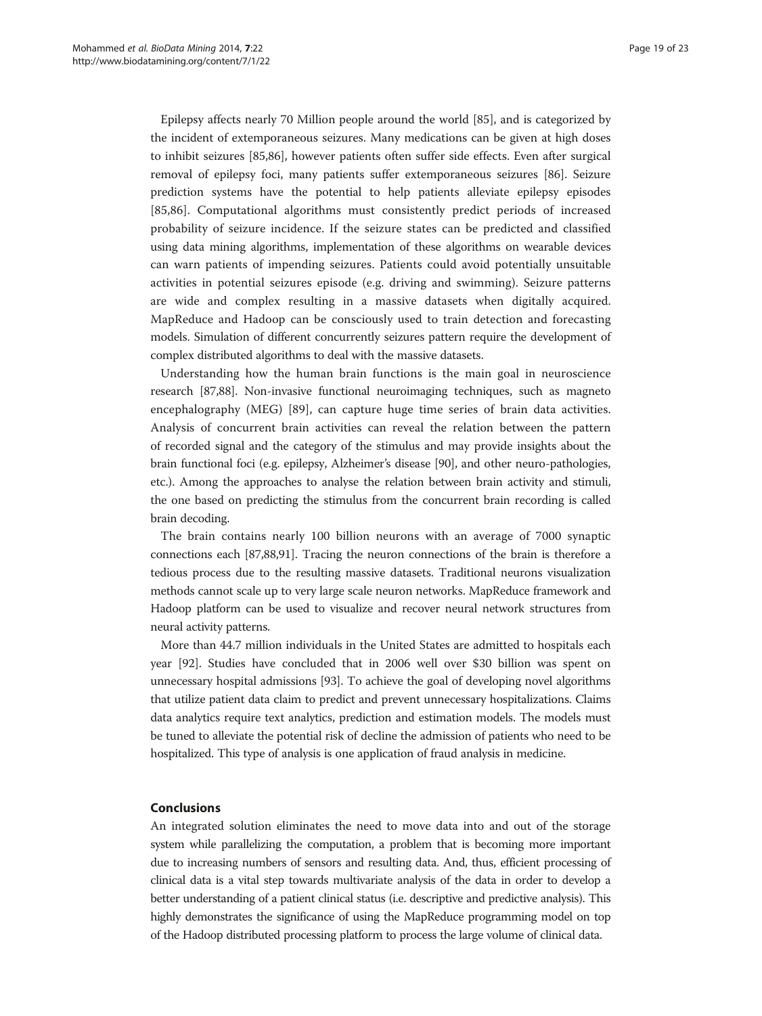Epilepsy affects nearly 70 Million people around the world [[85\]](#page-22-0), and is categorized by the incident of extemporaneous seizures. Many medications can be given at high doses to inhibit seizures [[85](#page-22-0),[86](#page-22-0)], however patients often suffer side effects. Even after surgical removal of epilepsy foci, many patients suffer extemporaneous seizures [\[86](#page-22-0)]. Seizure prediction systems have the potential to help patients alleviate epilepsy episodes [[85,86](#page-22-0)]. Computational algorithms must consistently predict periods of increased probability of seizure incidence. If the seizure states can be predicted and classified using data mining algorithms, implementation of these algorithms on wearable devices can warn patients of impending seizures. Patients could avoid potentially unsuitable activities in potential seizures episode (e.g. driving and swimming). Seizure patterns are wide and complex resulting in a massive datasets when digitally acquired. MapReduce and Hadoop can be consciously used to train detection and forecasting models. Simulation of different concurrently seizures pattern require the development of complex distributed algorithms to deal with the massive datasets.

Understanding how the human brain functions is the main goal in neuroscience research [\[87,88\]](#page-22-0). Non-invasive functional neuroimaging techniques, such as magneto encephalography (MEG) [[89\]](#page-22-0), can capture huge time series of brain data activities. Analysis of concurrent brain activities can reveal the relation between the pattern of recorded signal and the category of the stimulus and may provide insights about the brain functional foci (e.g. epilepsy, Alzheimer's disease [[90](#page-22-0)], and other neuro-pathologies, etc.). Among the approaches to analyse the relation between brain activity and stimuli, the one based on predicting the stimulus from the concurrent brain recording is called brain decoding.

The brain contains nearly 100 billion neurons with an average of 7000 synaptic connections each [\[87,88,91](#page-22-0)]. Tracing the neuron connections of the brain is therefore a tedious process due to the resulting massive datasets. Traditional neurons visualization methods cannot scale up to very large scale neuron networks. MapReduce framework and Hadoop platform can be used to visualize and recover neural network structures from neural activity patterns.

More than 44.7 million individuals in the United States are admitted to hospitals each year [[92](#page-22-0)]. Studies have concluded that in 2006 well over \$30 billion was spent on unnecessary hospital admissions [[93](#page-22-0)]. To achieve the goal of developing novel algorithms that utilize patient data claim to predict and prevent unnecessary hospitalizations. Claims data analytics require text analytics, prediction and estimation models. The models must be tuned to alleviate the potential risk of decline the admission of patients who need to be hospitalized. This type of analysis is one application of fraud analysis in medicine.

#### Conclusions

An integrated solution eliminates the need to move data into and out of the storage system while parallelizing the computation, a problem that is becoming more important due to increasing numbers of sensors and resulting data. And, thus, efficient processing of clinical data is a vital step towards multivariate analysis of the data in order to develop a better understanding of a patient clinical status (i.e. descriptive and predictive analysis). This highly demonstrates the significance of using the MapReduce programming model on top of the Hadoop distributed processing platform to process the large volume of clinical data.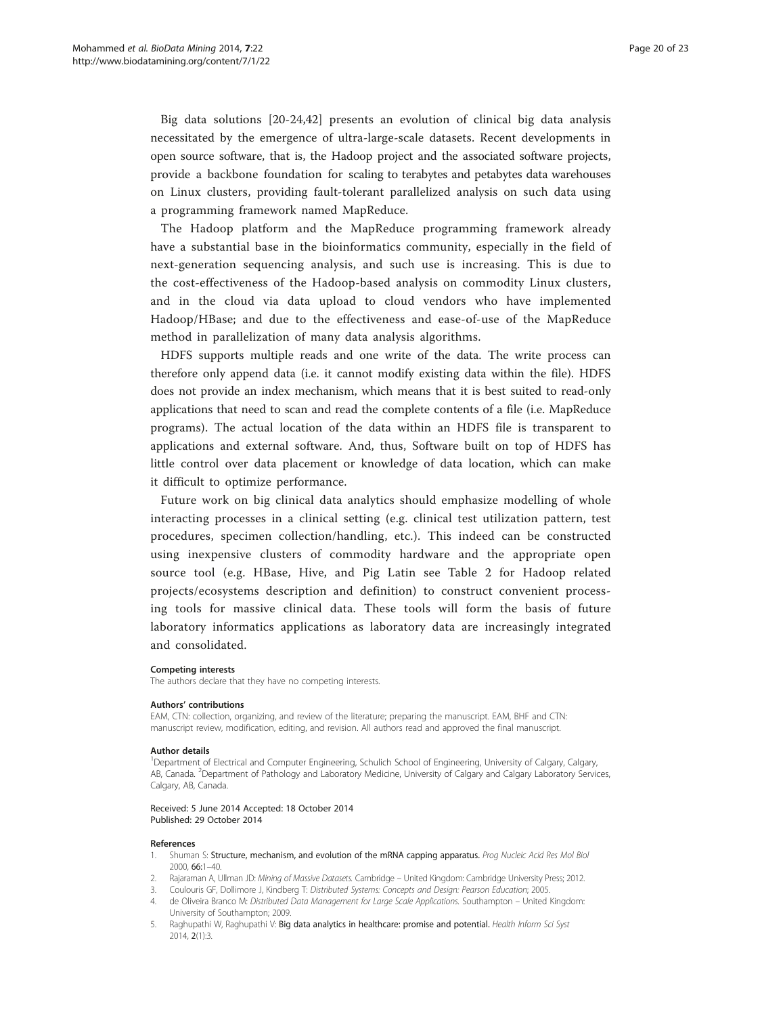<span id="page-19-0"></span>Big data solutions [\[20](#page-20-0)-[24,42](#page-20-0)] presents an evolution of clinical big data analysis necessitated by the emergence of ultra-large-scale datasets. Recent developments in open source software, that is, the Hadoop project and the associated software projects, provide a backbone foundation for scaling to terabytes and petabytes data warehouses on Linux clusters, providing fault-tolerant parallelized analysis on such data using a programming framework named MapReduce.

The Hadoop platform and the MapReduce programming framework already have a substantial base in the bioinformatics community, especially in the field of next-generation sequencing analysis, and such use is increasing. This is due to the cost-effectiveness of the Hadoop-based analysis on commodity Linux clusters, and in the cloud via data upload to cloud vendors who have implemented Hadoop/HBase; and due to the effectiveness and ease-of-use of the MapReduce method in parallelization of many data analysis algorithms.

HDFS supports multiple reads and one write of the data. The write process can therefore only append data (i.e. it cannot modify existing data within the file). HDFS does not provide an index mechanism, which means that it is best suited to read-only applications that need to scan and read the complete contents of a file (i.e. MapReduce programs). The actual location of the data within an HDFS file is transparent to applications and external software. And, thus, Software built on top of HDFS has little control over data placement or knowledge of data location, which can make it difficult to optimize performance.

Future work on big clinical data analytics should emphasize modelling of whole interacting processes in a clinical setting (e.g. clinical test utilization pattern, test procedures, specimen collection/handling, etc.). This indeed can be constructed using inexpensive clusters of commodity hardware and the appropriate open source tool (e.g. HBase, Hive, and Pig Latin see Table [2](#page-8-0) for Hadoop related projects/ecosystems description and definition) to construct convenient processing tools for massive clinical data. These tools will form the basis of future laboratory informatics applications as laboratory data are increasingly integrated and consolidated.

#### Competing interests

The authors declare that they have no competing interests.

#### Authors' contributions

EAM, CTN: collection, organizing, and review of the literature; preparing the manuscript. EAM, BHF and CTN: manuscript review, modification, editing, and revision. All authors read and approved the final manuscript.

#### Author details

<sup>1</sup>Department of Electrical and Computer Engineering, Schulich School of Engineering, University of Calgary, Calgary, AB, Canada. <sup>2</sup> Department of Pathology and Laboratory Medicine, University of Calgary and Calgary Laboratory Services, Calgary, AB, Canada.

#### Received: 5 June 2014 Accepted: 18 October 2014 Published: 29 October 2014

#### References

- 1. Shuman S: Structure, mechanism, and evolution of the mRNA capping apparatus. Prog Nucleic Acid Res Mol Biol 2000, 66:1–40.
- 2. Rajaraman A, Ullman JD: Mining of Massive Datasets. Cambridge United Kingdom: Cambridge University Press; 2012.
- 3. Coulouris GF, Dollimore J, Kindberg T: Distributed Systems: Concepts and Design: Pearson Education; 2005.
- 4. de Oliveira Branco M: Distributed Data Management for Large Scale Applications. Southampton United Kingdom: University of Southampton; 2009.
- 5. Raghupathi W, Raghupathi V: Big data analytics in healthcare: promise and potential. Health Inform Sci Syst 2014, 2(1):3.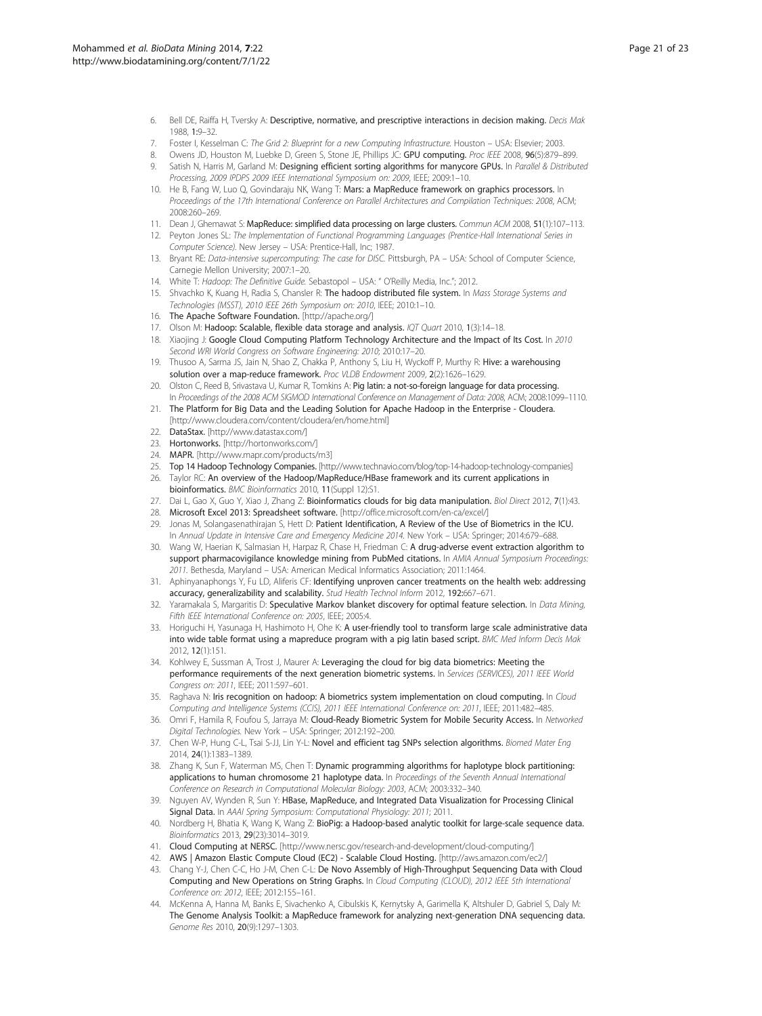- <span id="page-20-0"></span>6. Bell DE, Raiffa H, Tversky A: Descriptive, normative, and prescriptive interactions in decision making. Decis Mak 1988, 1:9–32.
- 7. Foster I, Kesselman C: The Grid 2: Blueprint for a new Computing Infrastructure. Houston USA: Elsevier; 2003.
- 8. Owens JD, Houston M, Luebke D, Green S, Stone JE, Phillips JC: GPU computing. Proc IEEE 2008, 96(5):879-899. 9. Satish N, Harris M, Garland M: Designing efficient sorting algorithms for manycore GPUs. In Parallel & Distributed
- Processing, 2009 IPDPS 2009 IEEE International Symposium on: 2009, IEEE; 2009:1–10.
- 10. He B, Fang W, Luo Q, Govindaraju NK, Wang T: Mars: a MapReduce framework on graphics processors. In Proceedings of the 17th International Conference on Parallel Architectures and Compilation Techniques: 2008, ACM; 2008:260–269.
- 11. Dean J, Ghemawat S: MapReduce: simplified data processing on large clusters. Commun ACM 2008, 51(1):107-113.
- 12. Peyton Jones SL: The Implementation of Functional Programming Languages (Prentice-Hall International Series in Computer Science). New Jersey – USA: Prentice-Hall, Inc; 1987.
- 13. Bryant RE: Data-intensive supercomputing: The case for DISC. Pittsburgh, PA USA: School of Computer Science, Carnegie Mellon University; 2007:1–20.
- 14. White T: Hadoop: The Definitive Guide. Sebastopol USA: " O'Reilly Media, Inc."; 2012.
- 15. Shvachko K, Kuang H, Radia S, Chansler R: The hadoop distributed file system. In Mass Storage Systems and Technologies (MSST), 2010 IEEE 26th Symposium on: 2010, IEEE; 2010:1–10.
- 16. The Apache Software Foundation. [\[http://apache.org/](http://apache.org/)]
- 17. Olson M: Hadoop: Scalable, flexible data storage and analysis. IQT Quart 2010, 1(3):14-18.
- 18. Xiaojing J: Google Cloud Computing Platform Technology Architecture and the Impact of Its Cost. In 2010 Second WRI World Congress on Software Engineering: 2010; 2010:17–20.
- 19. Thusoo A, Sarma JS, Jain N, Shao Z, Chakka P, Anthony S, Liu H, Wyckoff P, Murthy R: Hive: a warehousing solution over a map-reduce framework. Proc VLDB Endowment 2009, 2(2):1626–1629.
- 20. Olston C, Reed B, Srivastava U, Kumar R, Tomkins A: Pig latin: a not-so-foreign language for data processing. In Proceedings of the 2008 ACM SIGMOD International Conference on Management of Data: 2008, ACM; 2008:1099–1110.
- 21. The Platform for Big Data and the Leading Solution for Apache Hadoop in the Enterprise Cloudera. [\[http://www.cloudera.com/content/cloudera/en/home.html\]](http://www.cloudera.com/content/cloudera/en/home.html)
- 22. DataStax. [\[http://www.datastax.com/\]](http://www.datastax.com/)
- 23. Hortonworks. [\[http://hortonworks.com/\]](http://hortonworks.com/)
- 24. MAPR. [<http://www.mapr.com/products/m3>]
- 25. Top 14 Hadoop Technology Companies. [\[http://www.technavio.com/blog/top-14-hadoop-technology-companies](http://www.technavio.com/blog/top-14-hadoop-technology-companies)]
- 26. Taylor RC: An overview of the Hadoop/MapReduce/HBase framework and its current applications in bioinformatics. BMC Bioinformatics 2010, 11(Suppl 12):S1.
- 27. Dai L, Gao X, Guo Y, Xiao J, Zhang Z: Bioinformatics clouds for big data manipulation. Biol Direct 2012, 7(1):43.
- 28. Microsoft Excel 2013: Spreadsheet software. [[http://office.microsoft.com/en-ca/excel/\]](http://office.microsoft.com/en-ca/excel/)
- 29. Jonas M, Solangasenathirajan S, Hett D: Patient Identification, A Review of the Use of Biometrics in the ICU. In Annual Update in Intensive Care and Emergency Medicine 2014. New York – USA: Springer; 2014:679–688.
- 30. Wang W, Haerian K, Salmasian H, Harpaz R, Chase H, Friedman C: A drug-adverse event extraction algorithm to support pharmacovigilance knowledge mining from PubMed citations. In AMIA Annual Symposium Proceedings: 2011. Bethesda, Maryland – USA: American Medical Informatics Association; 2011:1464.
- 31. Aphinyanaphongs Y, Fu LD, Aliferis CF: Identifying unproven cancer treatments on the health web: addressing accuracy, generalizability and scalability. Stud Health Technol Inform 2012, 192:667–671.
- 32. Yaramakala S, Margaritis D: Speculative Markov blanket discovery for optimal feature selection. In Data Mining, Fifth IEEE International Conference on: 2005, IEEE; 2005:4.
- 33. Horiguchi H, Yasunaga H, Hashimoto H, Ohe K: A user-friendly tool to transform large scale administrative data into wide table format using a mapreduce program with a pig latin based script. BMC Med Inform Decis Mak 2012, 12(1):151.
- 34. Kohlwey E, Sussman A, Trost J, Maurer A: Leveraging the cloud for big data biometrics: Meeting the performance requirements of the next generation biometric systems. In Services (SERVICES), 2011 IEEE World Congress on: 2011, IEEE; 2011:597–601.
- 35. Raghava N: Iris recognition on hadoop: A biometrics system implementation on cloud computing. In Cloud Computing and Intelligence Systems (CCIS), 2011 IEEE International Conference on: 2011, IEEE; 2011:482–485.
- 36. Omri F, Hamila R, Foufou S, Jarraya M: Cloud-Ready Biometric System for Mobile Security Access. In Networked Digital Technologies. New York – USA: Springer; 2012:192–200.
- 37. Chen W-P, Hung C-L, Tsai S-JJ, Lin Y-L: Novel and efficient tag SNPs selection algorithms. Biomed Mater Eng 2014, 24(1):1383–1389.
- 38. Zhang K, Sun F, Waterman MS, Chen T: Dynamic programming algorithms for haplotype block partitioning: applications to human chromosome 21 haplotype data. In Proceedings of the Seventh Annual International Conference on Research in Computational Molecular Biology: 2003, ACM; 2003:332–340.
- 39. Nguyen AV, Wynden R, Sun Y: HBase, MapReduce, and Integrated Data Visualization for Processing Clinical Signal Data. In AAAI Spring Symposium: Computational Physiology: 2011; 2011
- 40. Nordberg H, Bhatia K, Wang K, Wang Z: BioPig: a Hadoop-based analytic toolkit for large-scale sequence data. Bioinformatics 2013, 29(23):3014–3019.
- 41. Cloud Computing at NERSC. [[http://www.nersc.gov/research-and-development/cloud-computing/\]](http://www.nersc.gov/research-and-development/cloud-computing/)
- 42. AWS | Amazon Elastic Compute Cloud (EC2) Scalable Cloud Hosting. [\[http://aws.amazon.com/ec2/](http://aws.amazon.com/ec2/)]
- 43. Chang Y-J, Chen C-C, Ho J-M, Chen C-L: De Novo Assembly of High-Throughput Sequencing Data with Cloud Computing and New Operations on String Graphs. In Cloud Computing (CLOUD), 2012 IEEE 5th International Conference on: 2012, IEEE; 2012:155–161.
- 44. McKenna A, Hanna M, Banks E, Sivachenko A, Cibulskis K, Kernytsky A, Garimella K, Altshuler D, Gabriel S, Daly M: The Genome Analysis Toolkit: a MapReduce framework for analyzing next-generation DNA sequencing data. Genome Res 2010, 20(9):1297–1303.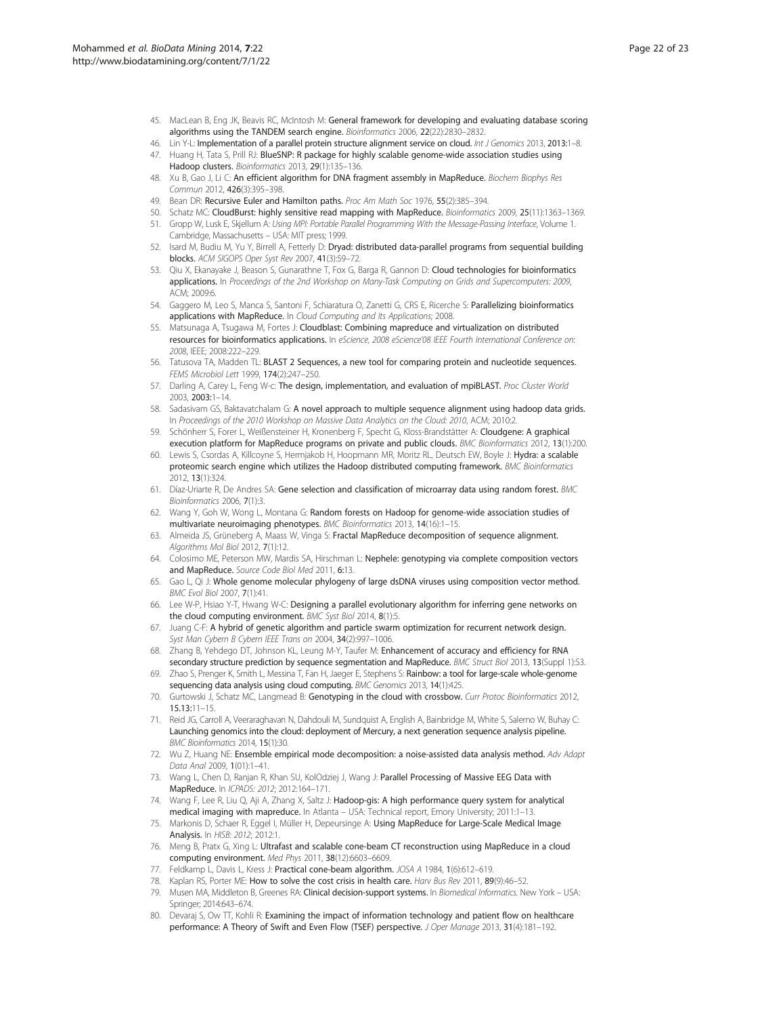- <span id="page-21-0"></span>45. MacLean B, Eng JK, Beavis RC, McIntosh M: General framework for developing and evaluating database scoring algorithms using the TANDEM search engine. Bioinformatics 2006, 22(22):2830–2832.
- 46. Lin Y-L: Implementation of a parallel protein structure alignment service on cloud. Int J Genomics 2013, 2013:1–8.
- 47. Huang H, Tata S, Prill RJ: BlueSNP: R package for highly scalable genome-wide association studies using Hadoop clusters. Bioinformatics 2013, 29(1):135-136.
- 48. Xu B, Gao J, Li C: An efficient algorithm for DNA fragment assembly in MapReduce. Biochem Biophys Res Commun 2012, 426(3):395–398.
- 49. Bean DR: Recursive Euler and Hamilton paths. Proc Am Math Soc 1976, 55(2):385-394.
- 50. Schatz MC: CloudBurst: highly sensitive read mapping with MapReduce. Bioinformatics 2009, 25(11):1363–1369.
- 51. Gropp W, Lusk E, Skjellum A: Using MPI: Portable Parallel Programming With the Message-Passing Interface, Volume 1. Cambridge, Massachusetts – USA: MIT press; 1999.
- 52. Isard M, Budiu M, Yu Y, Birrell A, Fetterly D: Dryad: distributed data-parallel programs from sequential building blocks. ACM SIGOPS Oper Syst Rev 2007, 41(3):59–72.
- 53. Qiu X, Ekanayake J, Beason S, Gunarathne T, Fox G, Barga R, Gannon D: Cloud technologies for bioinformatics applications. In Proceedings of the 2nd Workshop on Many-Task Computing on Grids and Supercomputers: 2009, ACM; 2009:6.
- 54. Gaggero M, Leo S, Manca S, Santoni F, Schiaratura O, Zanetti G, CRS E, Ricerche S: Parallelizing bioinformatics applications with MapReduce. In Cloud Computing and Its Applications; 2008.
- 55. Matsunaga A, Tsugawa M, Fortes J: Cloudblast: Combining mapreduce and virtualization on distributed resources for bioinformatics applications. In eScience, 2008 eScience'08 IEEE Fourth International Conference on: 2008, IEEE; 2008:222–229.
- 56. Tatusova TA, Madden TL: BLAST 2 Sequences, a new tool for comparing protein and nucleotide sequences. FEMS Microbiol Lett 1999, 174(2):247–250.
- 57. Darling A, Carey L, Feng W-c: The design, implementation, and evaluation of mpiBLAST. Proc Cluster World 2003, 2003:1–14.
- 58. Sadasivam GS, Baktavatchalam G: A novel approach to multiple sequence alignment using hadoop data grids. In Proceedings of the 2010 Workshop on Massive Data Analytics on the Cloud: 2010, ACM; 2010:2.
- 59. Schönherr S, Forer L, Weißensteiner H, Kronenberg F, Specht G, Kloss-Brandstätter A: Cloudgene: A graphical execution platform for MapReduce programs on private and public clouds. BMC Bioinformatics 2012, 13(1):200.
- 60. Lewis S, Csordas A, Killcoyne S, Hermjakob H, Hoopmann MR, Moritz RL, Deutsch EW, Boyle J: Hydra: a scalable proteomic search engine which utilizes the Hadoop distributed computing framework. BMC Bioinformatics 2012, 13(1):324.
- 61. Díaz-Uriarte R, De Andres SA: Gene selection and classification of microarray data using random forest. BMC Bioinformatics 2006, 7(1):3.
- 62. Wang Y, Goh W, Wong L, Montana G: Random forests on Hadoop for genome-wide association studies of multivariate neuroimaging phenotypes. BMC Bioinformatics 2013, 14(16):1–15.
- 63. Almeida JS, Grüneberg A, Maass W, Vinga S: Fractal MapReduce decomposition of sequence alignment. Algorithms Mol Biol 2012, 7(1):12.
- 64. Colosimo ME, Peterson MW, Mardis SA, Hirschman L: Nephele: genotyping via complete composition vectors and MapReduce. Source Code Biol Med 2011, 6:13.
- 65. Gao L, Qi J: Whole genome molecular phylogeny of large dsDNA viruses using composition vector method. BMC Evol Biol 2007, 7(1):41.
- 66. Lee W-P, Hsiao Y-T, Hwang W-C: Designing a parallel evolutionary algorithm for inferring gene networks on the cloud computing environment. BMC Syst Biol 2014, 8(1):5
- 67. Juang C-F: A hybrid of genetic algorithm and particle swarm optimization for recurrent network design. Syst Man Cybern B Cybern IEEE Trans on 2004, 34(2):997-1006.
- 68. Zhang B, Yehdego DT, Johnson KL, Leung M-Y, Taufer M: Enhancement of accuracy and efficiency for RNA secondary structure prediction by sequence segmentation and MapReduce. BMC Struct Biol 2013, 13(Suppl 1):S3.
- 69. Zhao S, Prenger K, Smith L, Messina T, Fan H, Jaeger E, Stephens S: Rainbow: a tool for large-scale whole-genome sequencing data analysis using cloud computing. BMC Genomics 2013, 14(1):425.
- 70. Gurtowski J, Schatz MC, Langmead B: Genotyping in the cloud with crossbow. Curr Protoc Bioinformatics 2012, 15.13:11–15.
- 71. Reid JG, Carroll A, Veeraraghavan N, Dahdouli M, Sundquist A, English A, Bainbridge M, White S, Salerno W, Buhay C: Launching genomics into the cloud: deployment of Mercury, a next generation sequence analysis pipeline. BMC Bioinformatics 2014, 15(1):30.
- 72. Wu Z, Huang NE: Ensemble empirical mode decomposition: a noise-assisted data analysis method. Adv Adapt Data Anal 2009, 1(01):1–41.
- 73. Wang L, Chen D, Ranjan R, Khan SU, KolOdziej J, Wang J: Parallel Processing of Massive EEG Data with MapReduce. In ICPADS: 2012; 2012:164–171.
- 74. Wang F, Lee R, Liu Q, Aji A, Zhang X, Saltz J: Hadoop-gis: A high performance query system for analytical medical imaging with mapreduce. In Atlanta – USA: Technical report, Emory University; 2011:1–13.
- 75. Markonis D, Schaer R, Eggel I, Müller H, Depeursinge A: Using MapReduce for Large-Scale Medical Image Analysis. In HISB: 2012; 2012:1.
- 76. Meng B, Pratx G, Xing L: Ultrafast and scalable cone-beam CT reconstruction using MapReduce in a cloud computing environment. Med Phys 2011, 38(12):6603–6609.
- 77. Feldkamp L, Davis L, Kress J: Practical cone-beam algorithm. JOSA A 1984, 1(6):612-619.
- 78. Kaplan RS, Porter ME: How to solve the cost crisis in health care. Harv Bus Rev 2011, 89(9):46–52.
- 79. Musen MA, Middleton B, Greenes RA: Clinical decision-support systems. In Biomedical Informatics. New York USA: Springer; 2014:643–674.
- 80. Devaraj S, Ow TT, Kohli R: Examining the impact of information technology and patient flow on healthcare performance: A Theory of Swift and Even Flow (TSEF) perspective. J Oper Manage 2013, 31(4):181-192.